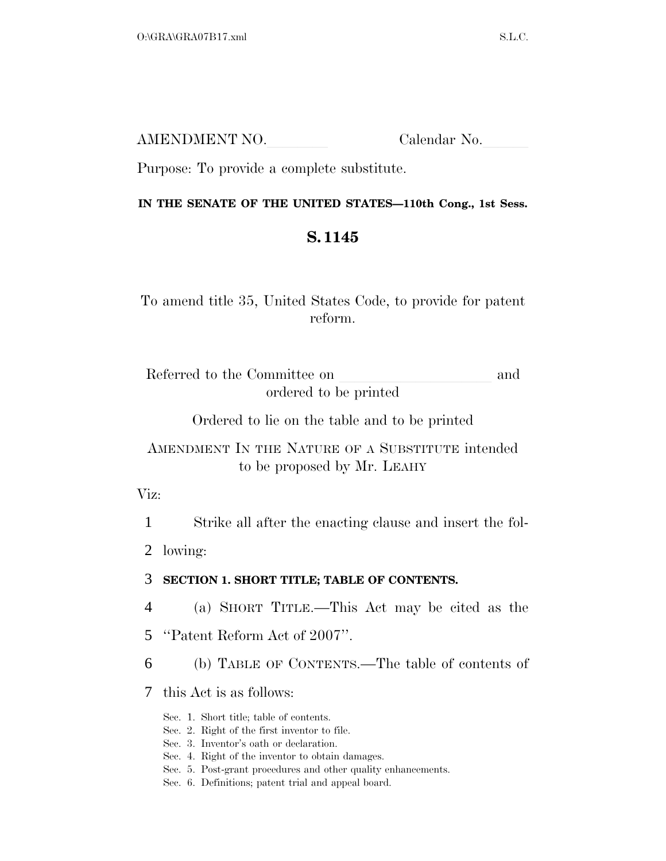| AMENDMENT NO. | Calendar No. |
|---------------|--------------|
|               |              |

Purpose: To provide a complete substitute.

### **IN THE SENATE OF THE UNITED STATES—110th Cong., 1st Sess.**

# **S. 1145**

To amend title 35, United States Code, to provide for patent reform.

Referred to the Committee on and ordered to be printed

Ordered to lie on the table and to be printed

# AMENDMENT IN THE NATURE OF A SUBSTITUTE intended to be proposed by Mr. LEAHY

Viz:

1 Strike all after the enacting clause and insert the fol-

2 lowing:

## 3 **SECTION 1. SHORT TITLE; TABLE OF CONTENTS.**

4 (a) SHORT TITLE.—This Act may be cited as the

5 ''Patent Reform Act of 2007''.

6 (b) TABLE OF CONTENTS.—The table of contents of

7 this Act is as follows:

Sec. 1. Short title; table of contents.

Sec. 2. Right of the first inventor to file.

Sec. 3. Inventor's oath or declaration.

Sec. 4. Right of the inventor to obtain damages.

Sec. 5. Post-grant procedures and other quality enhancements.

Sec. 6. Definitions; patent trial and appeal board.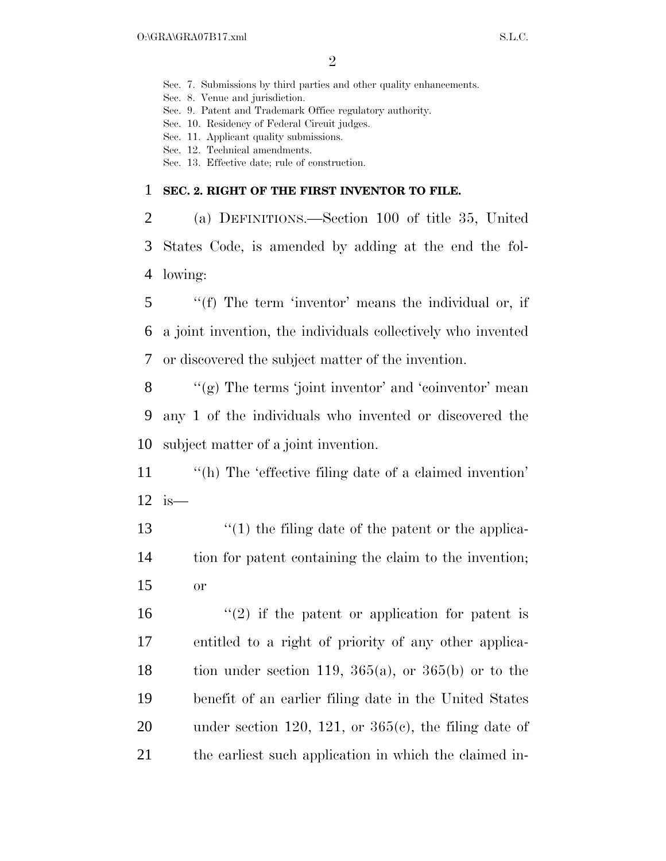Sec. 7. Submissions by third parties and other quality enhancements.

Sec. 8. Venue and jurisdiction.

Sec. 9. Patent and Trademark Office regulatory authority.

Sec. 10. Residency of Federal Circuit judges.

Sec. 11. Applicant quality submissions.

Sec. 12. Technical amendments.

Sec. 13. Effective date; rule of construction.

#### 1 **SEC. 2. RIGHT OF THE FIRST INVENTOR TO FILE.**

2 (a) DEFINITIONS.—Section 100 of title 35, United 3 States Code, is amended by adding at the end the fol-4 lowing:

5 ''(f) The term 'inventor' means the individual or, if 6 a joint invention, the individuals collectively who invented 7 or discovered the subject matter of the invention.

8  $\langle \langle \rangle$  (g) The terms 'joint inventor' and 'coinventor' mean 9 any 1 of the individuals who invented or discovered the 10 subject matter of a joint invention.

11 ''(h) The 'effective filing date of a claimed invention' 12 is—

13 ''(1) the filing date of the patent or the applica-14 tion for patent containing the claim to the invention; 15 or

16  $\frac{1}{2}$  if the patent or application for patent is 17 entitled to a right of priority of any other applica-18 tion under section 119,  $365(a)$ , or  $365(b)$  or to the 19 benefit of an earlier filing date in the United States 20 under section 120, 121, or  $365(c)$ , the filing date of 21 the earliest such application in which the claimed in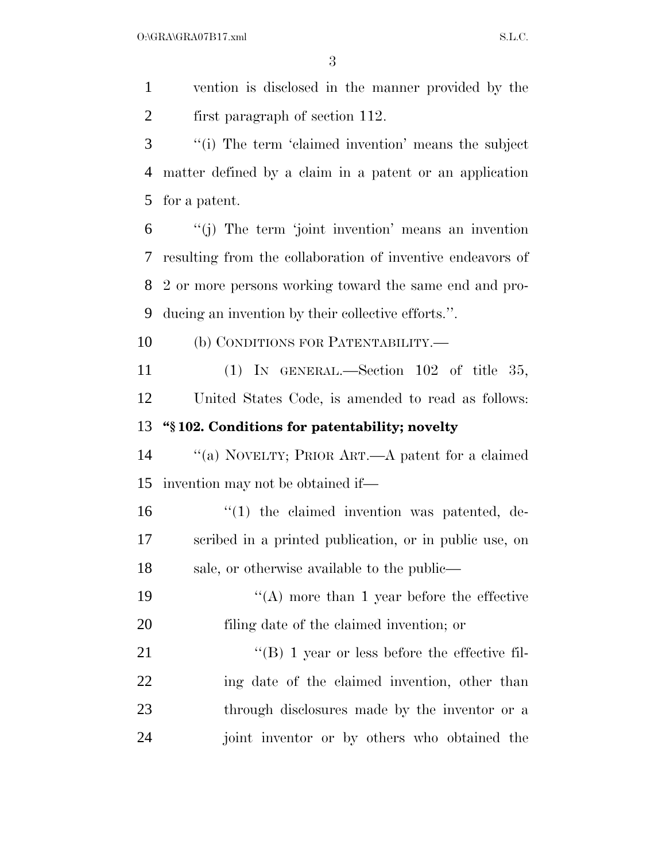$O:\overline{GRA}\setminus GRA$   $SL.C.$ 

 vention is disclosed in the manner provided by the first paragraph of section 112. ''(i) The term 'claimed invention' means the subject matter defined by a claim in a patent or an application for a patent. ''(j) The term 'joint invention' means an invention resulting from the collaboration of inventive endeavors of 2 or more persons working toward the same end and pro- ducing an invention by their collective efforts.''. (b) CONDITIONS FOR PATENTABILITY.— (1) IN GENERAL.—Section 102 of title 35, United States Code, is amended to read as follows: **''§ 102. Conditions for patentability; novelty**  ''(a) NOVELTY; PRIOR ART.—A patent for a claimed invention may not be obtained if—  $\frac{1}{2}$  (1) the claimed invention was patented, de- scribed in a printed publication, or in public use, on sale, or otherwise available to the public— 19 ''(A) more than 1 year before the effective filing date of the claimed invention; or 21 ''(B) 1 year or less before the effective fil- ing date of the claimed invention, other than through disclosures made by the inventor or a joint inventor or by others who obtained the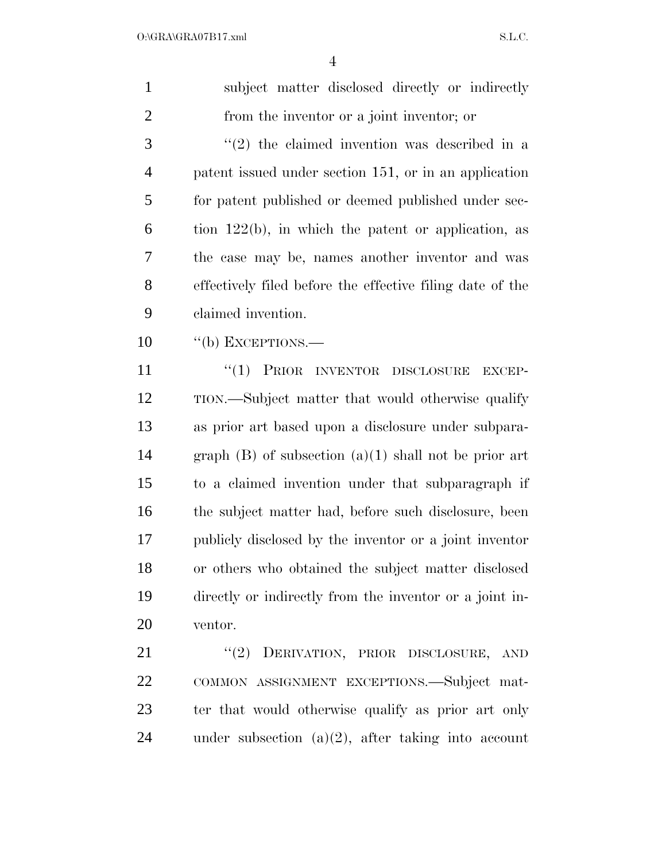| $\mathbf{1}$   | subject matter disclosed directly or indirectly           |
|----------------|-----------------------------------------------------------|
| $\overline{2}$ | from the inventor or a joint inventor; or                 |
| 3              | $(2)$ the claimed invention was described in a            |
| $\overline{4}$ | patent issued under section 151, or in an application     |
| 5              | for patent published or deemed published under sec-       |
| 6              | tion $122(b)$ , in which the patent or application, as    |
| 7              | the case may be, names another inventor and was           |
| 8              | effectively filed before the effective filing date of the |
| 9              | claimed invention.                                        |
| 10             | $\lq\lq(b)$ EXCEPTIONS.—                                  |
| 11             | "(1) PRIOR INVENTOR DISCLOSURE<br>EXCEP-                  |
| 12             | TION.—Subject matter that would otherwise qualify         |
| 13             | as prior art based upon a disclosure under subpara-       |
| 14             | graph $(B)$ of subsection $(a)(1)$ shall not be prior art |
| 15             | to a claimed invention under that subparagraph if         |
| 16             | the subject matter had, before such disclosure, been      |
| 17             | publicly disclosed by the inventor or a joint inventor    |
| 18             | or others who obtained the subject matter disclosed       |
| 19             | directly or indirectly from the inventor or a joint in-   |
| 20             | ventor.                                                   |
| 21             | "(2) DERIVATION, PRIOR DISCLOSURE, AND                    |
| 22             | COMMON ASSIGNMENT EXCEPTIONS.—Subject mat-                |
| 23             | ter that would otherwise qualify as prior art only        |
| 24             | under subsection $(a)(2)$ , after taking into account     |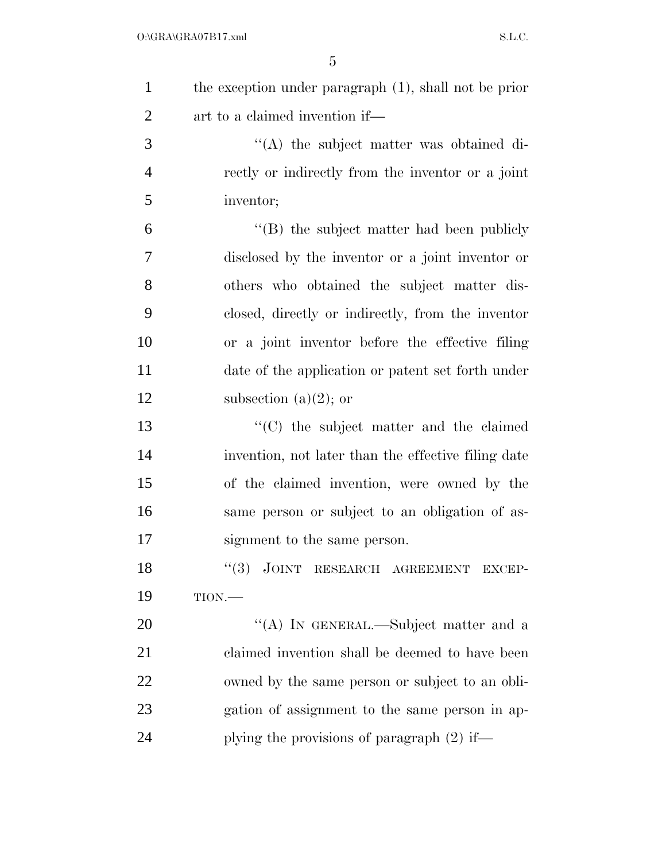| $\mathbf{1}$   | the exception under paragraph $(1)$ , shall not be prior |
|----------------|----------------------------------------------------------|
| $\overline{2}$ | art to a claimed invention if—                           |
| 3              | $\lq\lq$ the subject matter was obtained di-             |
| $\overline{4}$ | rectly or indirectly from the inventor or a joint        |
| 5              | inventor;                                                |
| 6              | $\lq\lq$ the subject matter had been publicly            |
| $\overline{7}$ | disclosed by the inventor or a joint inventor or         |
| 8              | others who obtained the subject matter dis-              |
| 9              | closed, directly or indirectly, from the inventor        |
| 10             | or a joint inventor before the effective filing          |
| 11             | date of the application or patent set forth under        |
| 12             | subsection (a) $(2)$ ; or                                |
| 13             | $\cdot$ (C) the subject matter and the claimed           |
| 14             | invention, not later than the effective filing date      |
| 15             | of the claimed invention, were owned by the              |
| 16             | same person or subject to an obligation of as-           |
| 17             | signment to the same person.                             |
| 18             | "(3) JOINT RESEARCH AGREEMENT EXCEP-                     |
| 19             | TION.                                                    |
| 20             | "(A) IN GENERAL.—Subject matter and a                    |
| 21             | claimed invention shall be deemed to have been           |
| 22             | owned by the same person or subject to an obli-          |
| 23             | gation of assignment to the same person in ap-           |
| 24             | plying the provisions of paragraph $(2)$ if—             |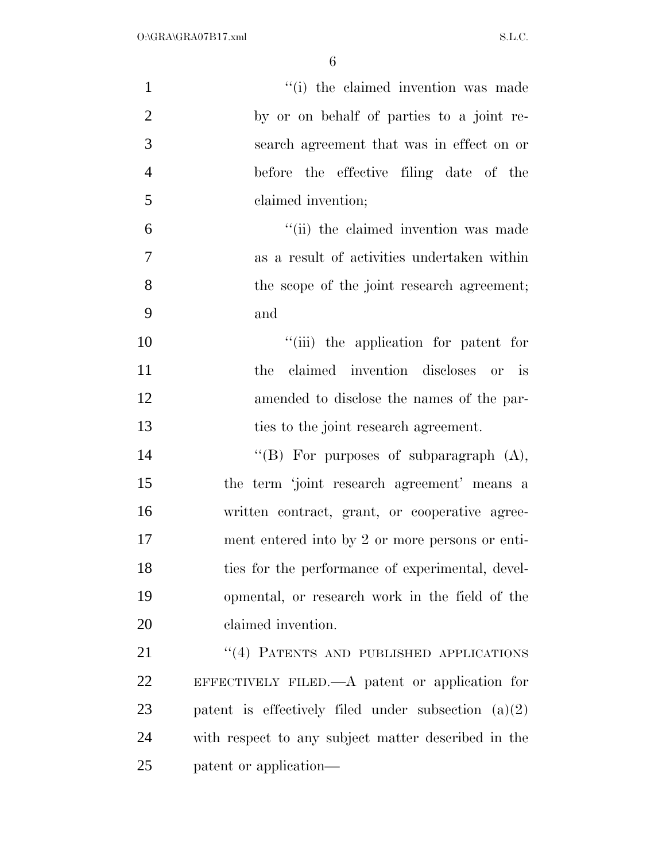| $\mathbf{1}$   | "(i) the claimed invention was made                   |
|----------------|-------------------------------------------------------|
| $\overline{2}$ | by or on behalf of parties to a joint re-             |
| 3              | search agreement that was in effect on or             |
| $\overline{4}$ | before the effective filing date of the               |
| 5              | claimed invention;                                    |
| 6              | "(ii) the claimed invention was made                  |
| $\overline{7}$ | as a result of activities undertaken within           |
| 8              | the scope of the joint research agreement;            |
| 9              | and                                                   |
| 10             | "(iii) the application for patent for                 |
| 11             | claimed invention discloses or is<br>the              |
| 12             | amended to disclose the names of the par-             |
| 13             | ties to the joint research agreement.                 |
| 14             | "(B) For purposes of subparagraph $(A)$ ,             |
| 15             | the term 'joint research agreement' means a           |
| 16             | written contract, grant, or cooperative agree-        |
| 17             | ment entered into by 2 or more persons or enti-       |
| 18             | ties for the performance of experimental, devel-      |
| 19             | opmental, or research work in the field of the        |
| 20             | claimed invention.                                    |
| 21             | "(4) PATENTS AND PUBLISHED APPLICATIONS               |
| 22             | EFFECTIVELY FILED.— $A$ patent or application for     |
| 23             | patent is effectively filed under subsection $(a)(2)$ |
| 24             | with respect to any subject matter described in the   |
| 25             | patent or application—                                |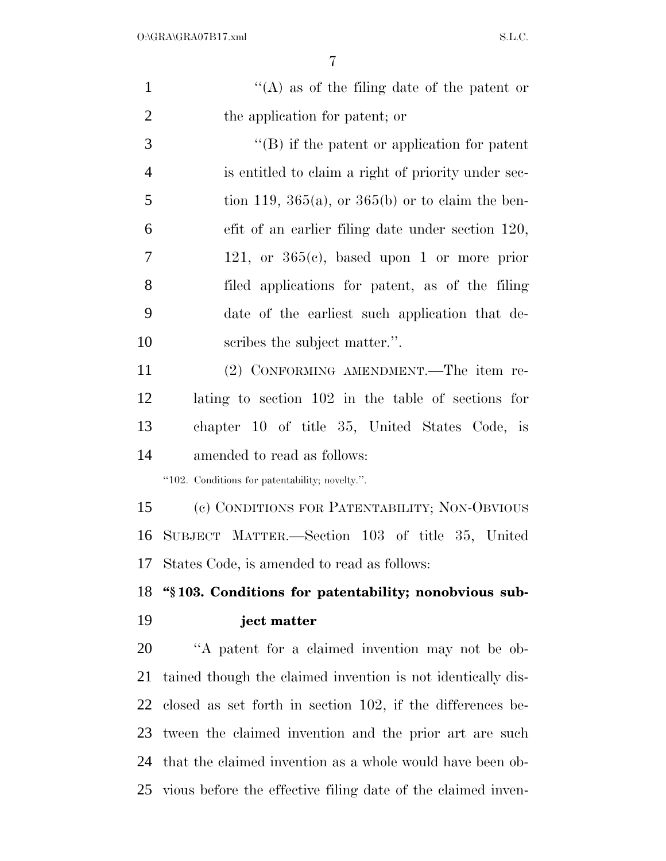| $\mathbf{1}$   | "(A) as of the filing date of the patent or                  |
|----------------|--------------------------------------------------------------|
| $\overline{2}$ | the application for patent; or                               |
| 3              | $\lq\lq$ ) if the patent or application for patent           |
| $\overline{4}$ | is entitled to claim a right of priority under sec-          |
| 5              | tion 119, 365(a), or 365(b) or to claim the ben-             |
| 6              | efit of an earlier filing date under section 120,            |
| 7              | 121, or $365(c)$ , based upon 1 or more prior                |
| 8              | filed applications for patent, as of the filing              |
| 9              | date of the earliest such application that de-               |
| 10             | scribes the subject matter.".                                |
| 11             | (2) CONFORMING AMENDMENT.—The item re-                       |
| 12             | lating to section 102 in the table of sections for           |
| 13             | chapter 10 of title 35, United States Code, is               |
| 14             | amended to read as follows:                                  |
|                | "102. Conditions for patentability; novelty.".               |
| 15             | (c) CONDITIONS FOR PATENTABILITY; NON-OBVIOUS                |
| 16             | SUBJECT MATTER.—Section 103 of title 35, United              |
| 17             | States Code, is amended to read as follows:                  |
| 18             | "\\$103. Conditions for patentability; nonobvious sub-       |
| 19             | ject matter                                                  |
| 20             | "A patent for a claimed invention may not be ob-             |
| 21             | tained though the claimed invention is not identically dis-  |
| 22             | closed as set forth in section 102, if the differences be-   |
| 23             | tween the claimed invention and the prior art are such       |
| 24             | that the claimed invention as a whole would have been ob-    |
| 25             | vious before the effective filing date of the claimed inven- |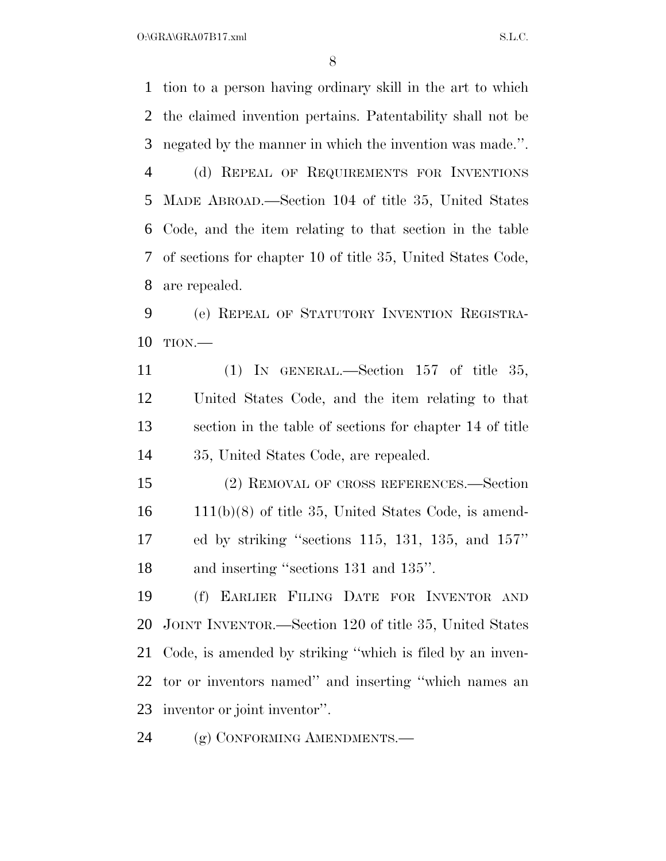$O:\overline{GRA}\setminus GRA$   $S.L.C.$ 

 tion to a person having ordinary skill in the art to which the claimed invention pertains. Patentability shall not be negated by the manner in which the invention was made.''. (d) REPEAL OF REQUIREMENTS FOR INVENTIONS MADE ABROAD.—Section 104 of title 35, United States Code, and the item relating to that section in the table of sections for chapter 10 of title 35, United States Code, are repealed.

 (e) REPEAL OF STATUTORY INVENTION REGISTRA-TION.—

 (1) IN GENERAL.—Section 157 of title 35, United States Code, and the item relating to that section in the table of sections for chapter 14 of title 35, United States Code, are repealed.

 (2) REMOVAL OF CROSS REFERENCES.—Section 111(b)(8) of title 35, United States Code, is amend- ed by striking ''sections 115, 131, 135, and 157'' and inserting ''sections 131 and 135''.

 (f) EARLIER FILING DATE FOR INVENTOR AND JOINT INVENTOR.—Section 120 of title 35, United States Code, is amended by striking ''which is filed by an inven- tor or inventors named'' and inserting ''which names an inventor or joint inventor''.

24 (g) CONFORMING AMENDMENTS.—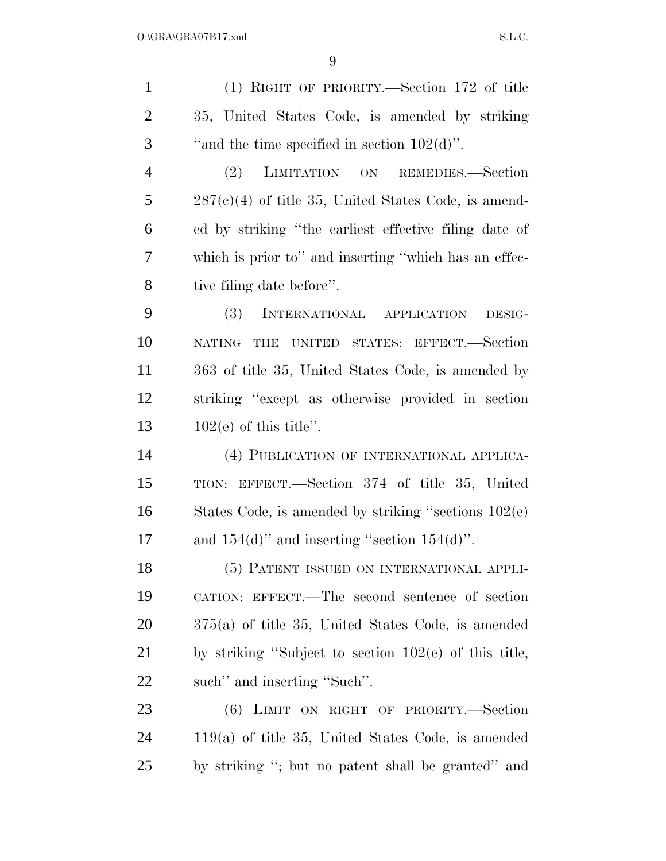(1) RIGHT OF PRIORITY.—Section 172 of title 35, United States Code, is amended by striking  $\ldots$  "and the time specified in section 102(d)". (2) LIMITATION ON REMEDIES.—Section 287(c)(4) of title 35, United States Code, is amend- ed by striking ''the earliest effective filing date of which is prior to'' and inserting ''which has an effec- tive filing date before''. (3) INTERNATIONAL APPLICATION DESIG- NATING THE UNITED STATES: EFFECT.—Section 363 of title 35, United States Code, is amended by striking ''except as otherwise provided in section  $102(e)$  of this title". (4) PUBLICATION OF INTERNATIONAL APPLICA- TION: EFFECT.—Section 374 of title 35, United States Code, is amended by striking ''sections 102(e) 17 and  $154(d)$ " and inserting "section  $154(d)$ ". (5) PATENT ISSUED ON INTERNATIONAL APPLI- CATION: EFFECT.—The second sentence of section 375(a) of title 35, United States Code, is amended by striking ''Subject to section 102(e) of this title, such'' and inserting ''Such''. (6) LIMIT ON RIGHT OF PRIORITY.—Section 119(a) of title 35, United States Code, is amended by striking ''; but no patent shall be granted'' and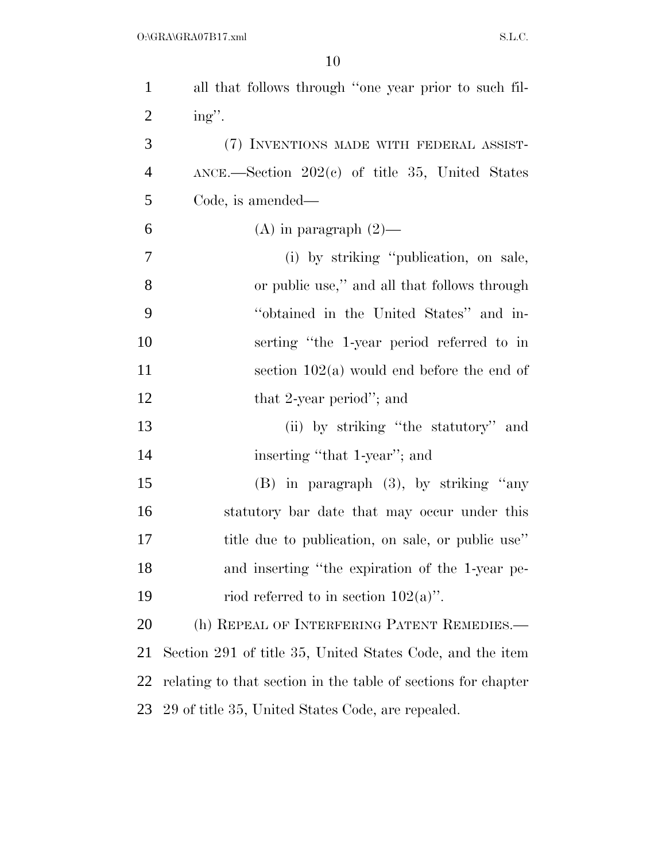| $\mathbf{1}$   | all that follows through "one year prior to such fil-         |
|----------------|---------------------------------------------------------------|
| $\overline{2}$ | ing".                                                         |
| 3              | (7) INVENTIONS MADE WITH FEDERAL ASSIST-                      |
| $\overline{4}$ | $\text{ANCE.}$ Section 202(c) of title 35, United States      |
| 5              | Code, is amended—                                             |
| 6              | (A) in paragraph $(2)$ —                                      |
| $\overline{7}$ | (i) by striking "publication, on sale,                        |
| 8              | or public use," and all that follows through                  |
| 9              | "obtained in the United States" and in-                       |
| 10             | serting "the 1-year period referred to in                     |
| 11             | section $102(a)$ would end before the end of                  |
| 12             | that 2-year period"; and                                      |
| 13             | (ii) by striking "the statutory" and                          |
| 14             | inserting "that 1-year"; and                                  |
| 15             | $(B)$ in paragraph $(3)$ , by striking "any                   |
| 16             | statutory bar date that may occur under this                  |
| 17             | title due to publication, on sale, or public use"             |
| 18             | and inserting "the expiration of the 1-year pe-               |
| 19             | riod referred to in section $102(a)$ .                        |
| 20             | (h) REPEAL OF INTERFERING PATENT REMEDIES.—                   |
| 21             | Section 291 of title 35, United States Code, and the item     |
| 22             | relating to that section in the table of sections for chapter |
| 23             | 29 of title 35, United States Code, are repealed.             |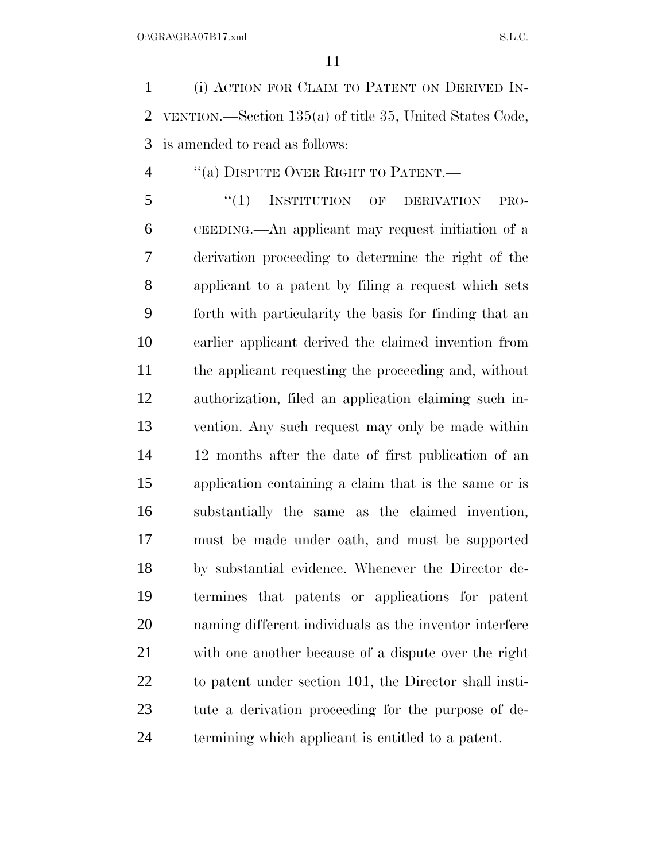(i) ACTION FOR CLAIM TO PATENT ON DERIVED IN- VENTION.—Section 135(a) of title 35, United States Code, is amended to read as follows:

''(a) DISPUTE OVER RIGHT TO PATENT.—

5 "(1) INSTITUTION OF DERIVATION PRO- CEEDING.—An applicant may request initiation of a derivation proceeding to determine the right of the applicant to a patent by filing a request which sets forth with particularity the basis for finding that an earlier applicant derived the claimed invention from the applicant requesting the proceeding and, without authorization, filed an application claiming such in- vention. Any such request may only be made within 12 months after the date of first publication of an application containing a claim that is the same or is substantially the same as the claimed invention, must be made under oath, and must be supported by substantial evidence. Whenever the Director de- termines that patents or applications for patent naming different individuals as the inventor interfere with one another because of a dispute over the right to patent under section 101, the Director shall insti- tute a derivation proceeding for the purpose of de-termining which applicant is entitled to a patent.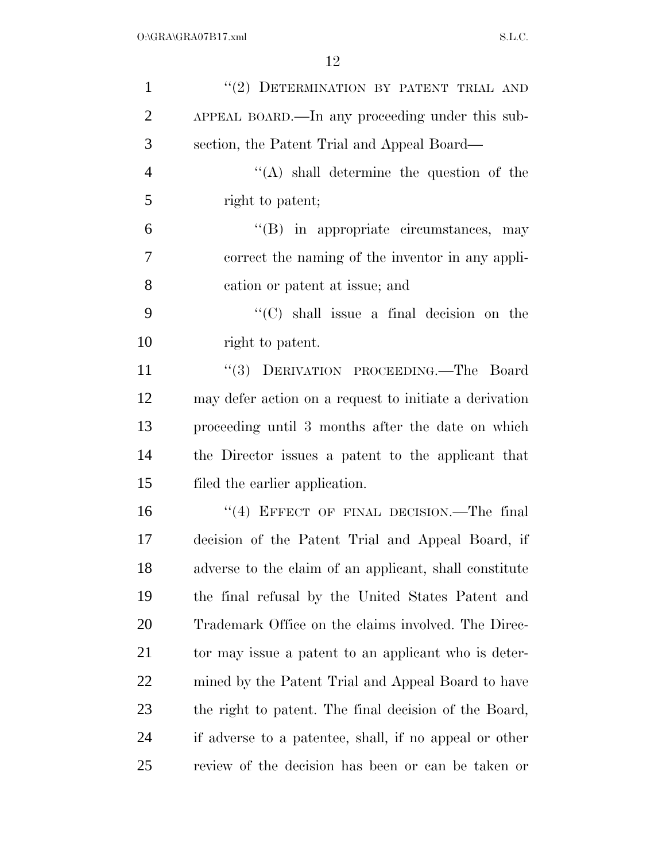| $\mathbf{1}$   | "(2) DETERMINATION BY PATENT TRIAL AND                 |
|----------------|--------------------------------------------------------|
| $\overline{2}$ | APPEAL BOARD.—In any proceeding under this sub-        |
| 3              | section, the Patent Trial and Appeal Board—            |
| $\overline{4}$ | "(A) shall determine the question of the               |
| 5              | right to patent;                                       |
| 6              | $\lq\lq$ (B) in appropriate circumstances, may         |
| $\overline{7}$ | correct the naming of the inventor in any appli-       |
| 8              | cation or patent at issue; and                         |
| 9              | "(C) shall issue a final decision on the               |
| 10             | right to patent.                                       |
| 11             | "(3) DERIVATION PROCEEDING.—The Board                  |
| 12             | may defer action on a request to initiate a derivation |
| 13             | proceeding until 3 months after the date on which      |
| 14             | the Director issues a patent to the applicant that     |
| 15             | filed the earlier application.                         |
| 16             | "(4) EFFECT OF FINAL DECISION.—The final               |
| 17             | decision of the Patent Trial and Appeal Board, if      |
| 18             | adverse to the claim of an applicant, shall constitute |
| 19             | the final refusal by the United States Patent and      |
| 20             | Trademark Office on the claims involved. The Direc-    |
| 21             | tor may issue a patent to an applicant who is deter-   |
| 22             | mined by the Patent Trial and Appeal Board to have     |
| 23             | the right to patent. The final decision of the Board,  |
| 24             | if adverse to a patentee, shall, if no appeal or other |
| 25             | review of the decision has been or can be taken or     |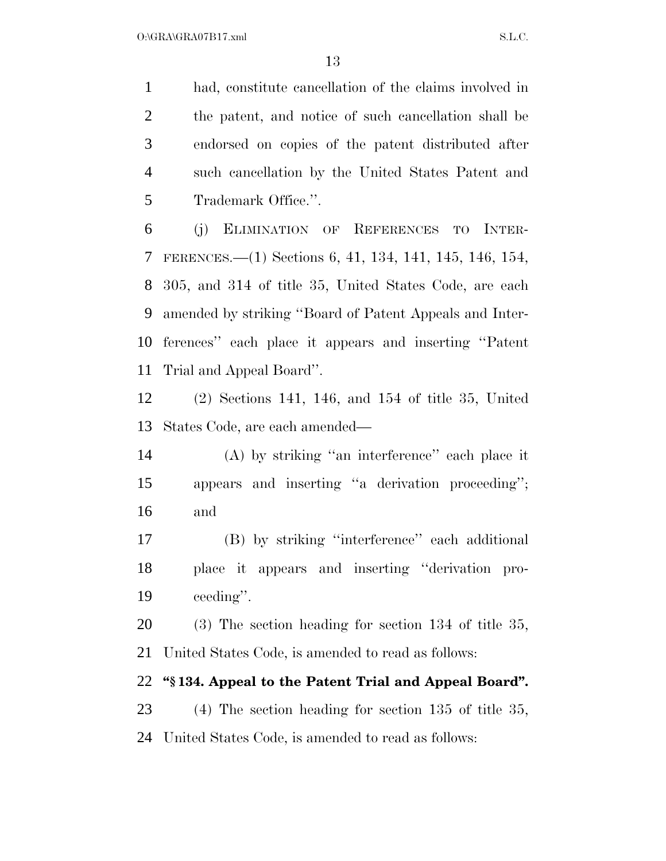had, constitute cancellation of the claims involved in the patent, and notice of such cancellation shall be endorsed on copies of the patent distributed after such cancellation by the United States Patent and Trademark Office.''.

 (j) ELIMINATION OF REFERENCES TO INTER- FERENCES.—(1) Sections 6, 41, 134, 141, 145, 146, 154, 305, and 314 of title 35, United States Code, are each amended by striking ''Board of Patent Appeals and Inter- ferences'' each place it appears and inserting ''Patent Trial and Appeal Board''.

 (2) Sections 141, 146, and 154 of title 35, United States Code, are each amended—

 (A) by striking ''an interference'' each place it appears and inserting ''a derivation proceeding''; and

 (B) by striking ''interference'' each additional place it appears and inserting ''derivation pro-ceeding''.

 (3) The section heading for section 134 of title 35, United States Code, is amended to read as follows:

## **''§ 134. Appeal to the Patent Trial and Appeal Board''.**

 (4) The section heading for section 135 of title 35, United States Code, is amended to read as follows: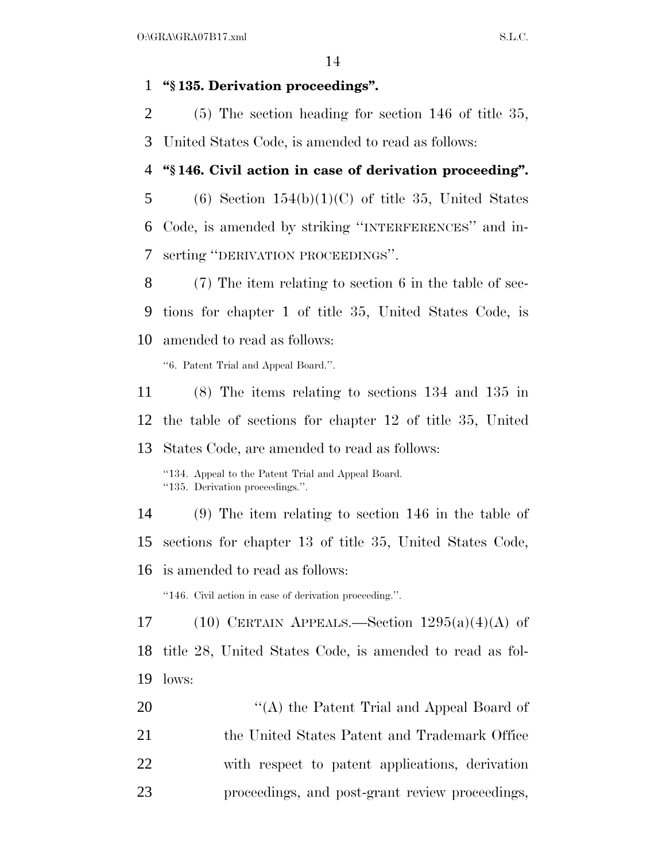#### **''§ 135. Derivation proceedings''.**

(5) The section heading for section 146 of title 35,

United States Code, is amended to read as follows:

## **''§ 146. Civil action in case of derivation proceeding''.**

5 (6) Section  $154(b)(1)(C)$  of title 35, United States Code, is amended by striking ''INTERFERENCES'' and in-serting ''DERIVATION PROCEEDINGS''.

 (7) The item relating to section 6 in the table of sec- tions for chapter 1 of title 35, United States Code, is amended to read as follows:

''6. Patent Trial and Appeal Board.''.

 (8) The items relating to sections 134 and 135 in the table of sections for chapter 12 of title 35, United States Code, are amended to read as follows: ''134. Appeal to the Patent Trial and Appeal Board. ''135. Derivation proceedings.''. (9) The item relating to section 146 in the table of sections for chapter 13 of title 35, United States Code, is amended to read as follows: ''146. Civil action in case of derivation proceeding.''. 17 (10) CERTAIN APPEALS.—Section  $1295(a)(4)(A)$  of

 title 28, United States Code, is amended to read as fol-lows:

20 "'(A) the Patent Trial and Appeal Board of 21 the United States Patent and Trademark Office with respect to patent applications, derivation proceedings, and post-grant review proceedings,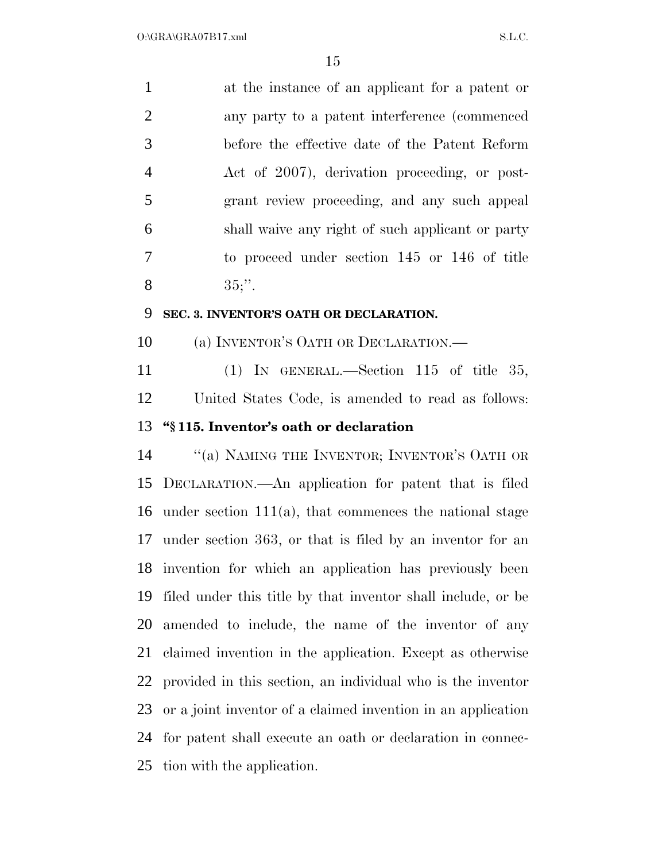| 1              | at the instance of an applicant for a patent or  |
|----------------|--------------------------------------------------|
| 2              | any party to a patent interference (commenced    |
| 3              | before the effective date of the Patent Reform   |
| $\overline{4}$ | Act of 2007), derivation proceeding, or post-    |
| 5              | grant review proceeding, and any such appeal     |
| 6              | shall waive any right of such applicant or party |
| 7              | to proceed under section 145 or 146 of title     |
| 8              | $35$ ;".                                         |
| 9              | SEC. 3. INVENTOR'S OATH OR DECLARATION.          |
| 10             | (a) INVENTOR'S OATH OR DECLARATION.—             |
| 11             | (1) IN GENERAL.—Section 115 of title 35,         |

 United States Code, is amended to read as follows: **''§ 115. Inventor's oath or declaration** 

14 "(a) NAMING THE INVENTOR; INVENTOR'S OATH OR DECLARATION.—An application for patent that is filed under section 111(a), that commences the national stage under section 363, or that is filed by an inventor for an invention for which an application has previously been filed under this title by that inventor shall include, or be amended to include, the name of the inventor of any claimed invention in the application. Except as otherwise provided in this section, an individual who is the inventor or a joint inventor of a claimed invention in an application for patent shall execute an oath or declaration in connec-tion with the application.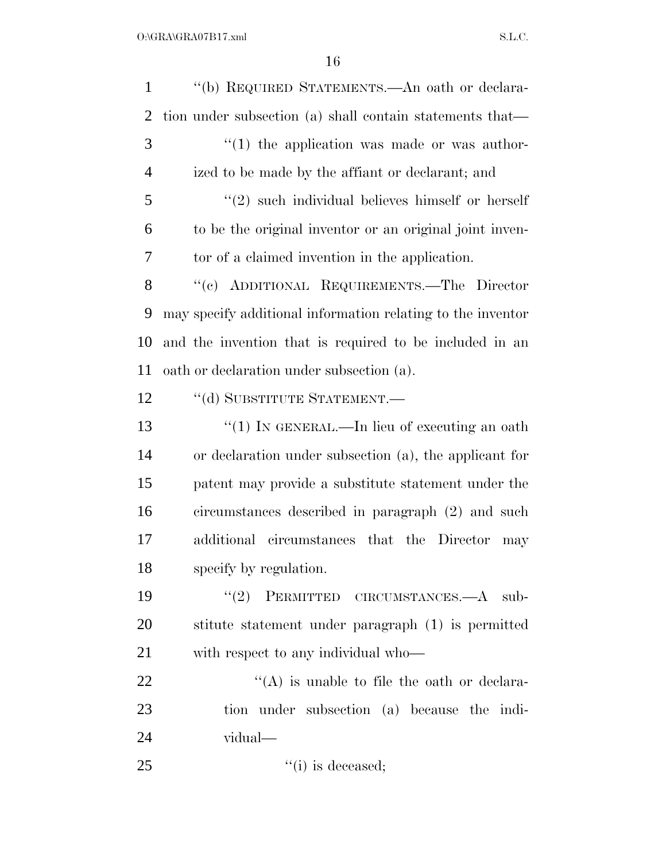''(b) REQUIRED STATEMENTS.—An oath or declara- tion under subsection (a) shall contain statements that— ''(1) the application was made or was author- ized to be made by the affiant or declarant; and ''(2) such individual believes himself or herself to be the original inventor or an original joint inven- tor of a claimed invention in the application. 8 "(c) ADDITIONAL REQUIREMENTS.—The Director may specify additional information relating to the inventor and the invention that is required to be included in an oath or declaration under subsection (a). 12 "(d) SUBSTITUTE STATEMENT.— 13 "(1) IN GENERAL.—In lieu of executing an oath or declaration under subsection (a), the applicant for patent may provide a substitute statement under the circumstances described in paragraph (2) and such additional circumstances that the Director may specify by regulation. 19 "(2) PERMITTED CIRCUMSTANCES.—A sub- stitute statement under paragraph (1) is permitted with respect to any individual who—  $\langle (A)$  is unable to file the oath or declara- tion under subsection (a) because the indi- vidual— ''(i) is deceased: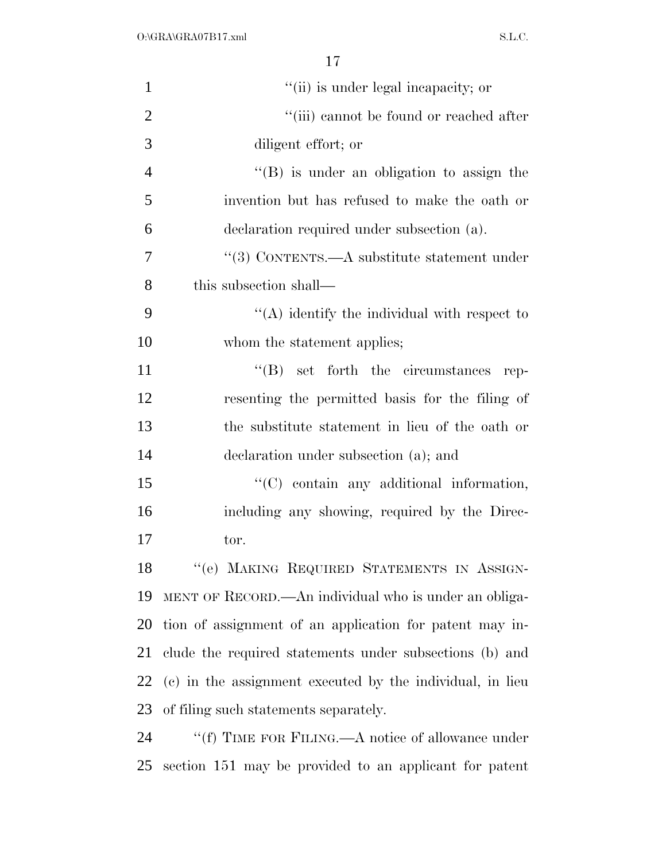| $\mathbf{1}$   | "(ii) is under legal incapacity; or                       |
|----------------|-----------------------------------------------------------|
| $\overline{2}$ | $\lq\lq$ (iii) cannot be found or reached after           |
| 3              | diligent effort; or                                       |
| $\overline{4}$ | $\lq\lq (B)$ is under an obligation to assign the         |
| 5              | invention but has refused to make the oath or             |
| 6              | declaration required under subsection (a).                |
| 7              | "(3) CONTENTS.—A substitute statement under               |
| 8              | this subsection shall—                                    |
| 9              | $\lq\lq$ identify the individual with respect to          |
| 10             | whom the statement applies;                               |
| 11             | $\lq\lq (B)$ set forth the circumstances rep-             |
| 12             | resenting the permitted basis for the filing of           |
| 13             | the substitute statement in lieu of the oath or           |
| 14             | declaration under subsection (a); and                     |
| 15             | "(C) contain any additional information,                  |
| 16             | including any showing, required by the Direc-             |
| 17             | tor.                                                      |
| 18             | "(e) MAKING REQUIRED STATEMENTS IN ASSIGN-                |
| 19             | MENT OF RECORD.—An individual who is under an obliga-     |
| 20             | tion of assignment of an application for patent may in-   |
| 21             | clude the required statements under subsections (b) and   |
| 22             | (c) in the assignment executed by the individual, in lieu |
| 23             | of filing such statements separately.                     |
| 24             | "(f) TIME FOR FILING.—A notice of allowance under         |
| 25             | section 151 may be provided to an applicant for patent    |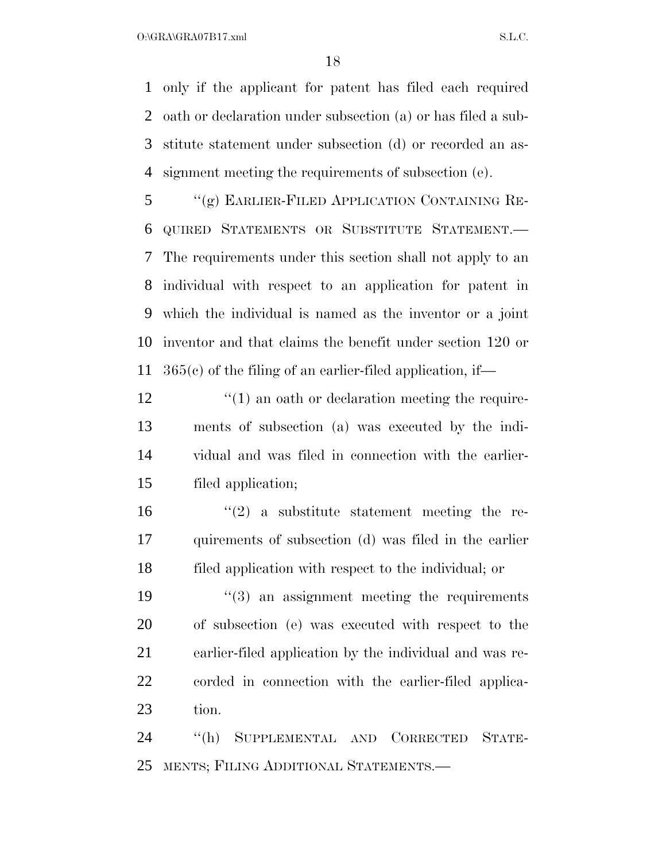$O:\overline{GRA}\setminus GRA$  and  $SL.C.$ 

 only if the applicant for patent has filed each required oath or declaration under subsection (a) or has filed a sub- stitute statement under subsection (d) or recorded an as-signment meeting the requirements of subsection (e).

 ''(g) EARLIER-FILED APPLICATION CONTAINING RE- QUIRED STATEMENTS OR SUBSTITUTE STATEMENT.— The requirements under this section shall not apply to an individual with respect to an application for patent in which the individual is named as the inventor or a joint inventor and that claims the benefit under section 120 or 365(c) of the filing of an earlier-filed application, if—

12 ''(1) an oath or declaration meeting the require- ments of subsection (a) was executed by the indi- vidual and was filed in connection with the earlier-filed application;

16  $(2)$  a substitute statement meeting the re- quirements of subsection (d) was filed in the earlier filed application with respect to the individual; or

 ''(3) an assignment meeting the requirements of subsection (e) was executed with respect to the earlier-filed application by the individual and was re- corded in connection with the earlier-filed applica-tion.

 ''(h) SUPPLEMENTAL AND CORRECTED STATE-MENTS; FILING ADDITIONAL STATEMENTS.—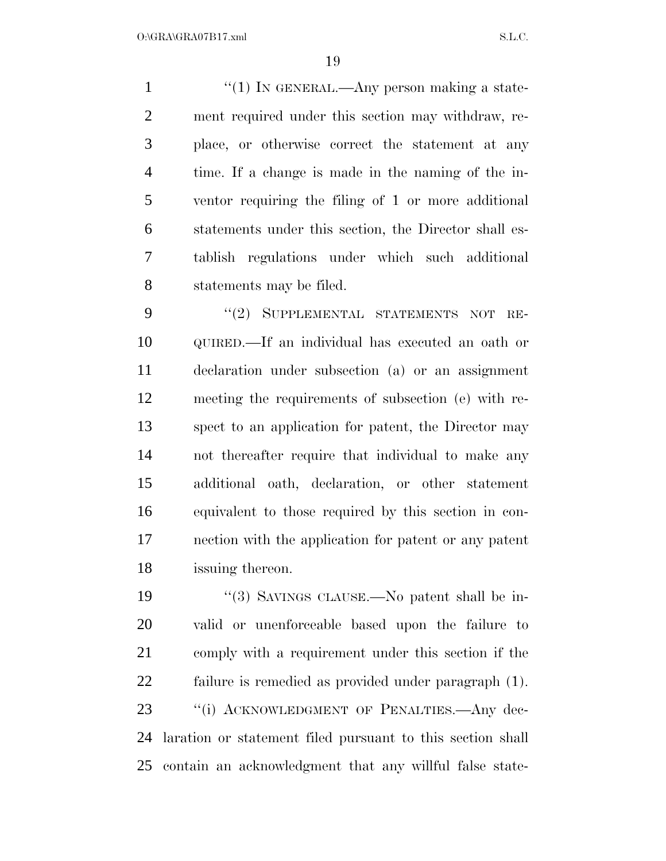$\frac{1}{1}$  ''(1) In GENERAL.—Any person making a state- ment required under this section may withdraw, re- place, or otherwise correct the statement at any time. If a change is made in the naming of the in- ventor requiring the filing of 1 or more additional statements under this section, the Director shall es- tablish regulations under which such additional statements may be filed.

9 "(2) SUPPLEMENTAL STATEMENTS NOT RE- QUIRED.—If an individual has executed an oath or declaration under subsection (a) or an assignment meeting the requirements of subsection (e) with re- spect to an application for patent, the Director may not thereafter require that individual to make any additional oath, declaration, or other statement equivalent to those required by this section in con- nection with the application for patent or any patent issuing thereon.

 ''(3) SAVINGS CLAUSE.—No patent shall be in- valid or unenforceable based upon the failure to comply with a requirement under this section if the failure is remedied as provided under paragraph (1). 23 "(i) ACKNOWLEDGMENT OF PENALTIES.—Any dec- laration or statement filed pursuant to this section shall contain an acknowledgment that any willful false state-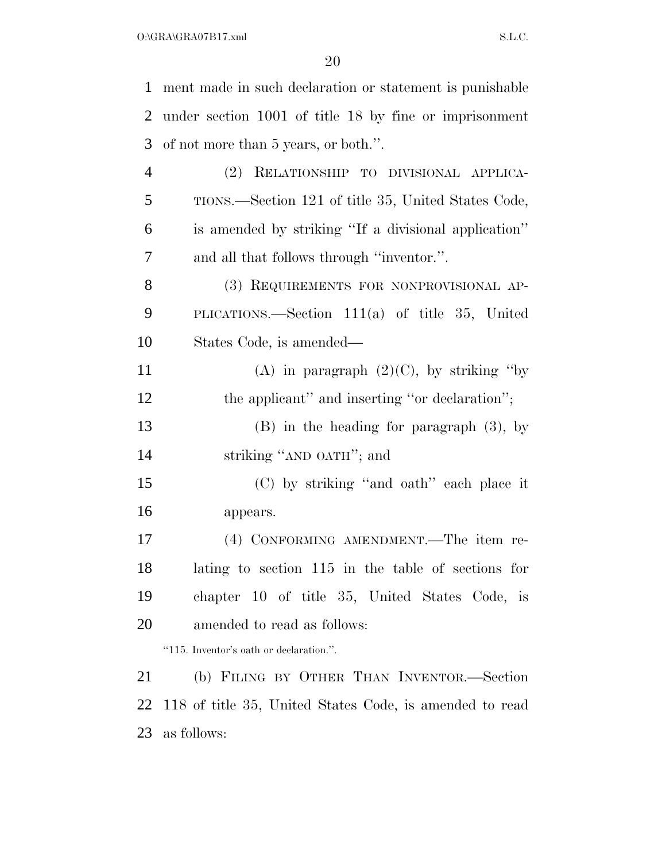| $\mathbf{1}$   | ment made in such declaration or statement is punishable |
|----------------|----------------------------------------------------------|
| $\overline{2}$ | under section 1001 of title 18 by fine or imprisonment   |
| 3              | of not more than 5 years, or both.".                     |
| $\overline{4}$ | (2) RELATIONSHIP TO DIVISIONAL APPLICA-                  |
| 5              | TIONS.—Section 121 of title 35, United States Code,      |
| 6              | is amended by striking "If a divisional application"     |
| 7              | and all that follows through "inventor.".                |
| 8              | (3) REQUIREMENTS FOR NONPROVISIONAL AP-                  |
| 9              | PLICATIONS.—Section $111(a)$ of title 35, United         |
| 10             | States Code, is amended—                                 |
| 11             | (A) in paragraph $(2)(C)$ , by striking "by              |
| 12             | the applicant" and inserting "or declaration";           |
| 13             | $(B)$ in the heading for paragraph $(3)$ , by            |
| 14             | striking "AND OATH"; and                                 |
| 15             | (C) by striking "and oath" each place it                 |
| 16             | appears.                                                 |
| 17             | (4) CONFORMING AMENDMENT.—The item re-                   |
| 18             | lating to section 115 in the table of sections for       |
| 19             | chapter 10 of title 35, United States Code, is           |
| 20             | amended to read as follows:                              |
|                | "115. Inventor's oath or declaration.".                  |
| 21             | (b) FILING BY OTHER THAN INVENTOR.—Section               |
| 22             | 118 of title 35, United States Code, is amended to read  |
| 23             | as follows:                                              |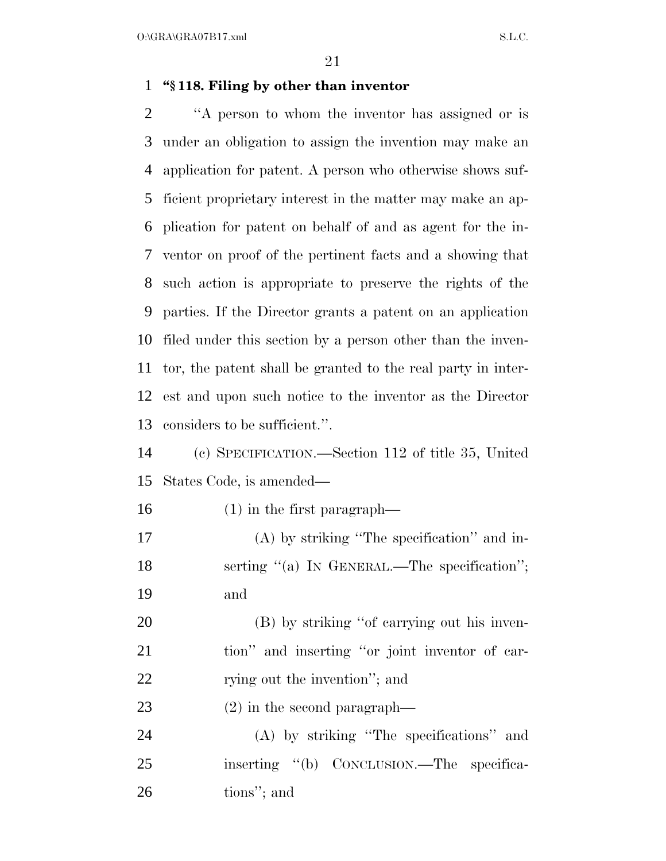$O:\overline{GRA}\setminus GRA$   $SL.C.$ 

#### **''§ 118. Filing by other than inventor**

 ''A person to whom the inventor has assigned or is under an obligation to assign the invention may make an application for patent. A person who otherwise shows suf- ficient proprietary interest in the matter may make an ap- plication for patent on behalf of and as agent for the in- ventor on proof of the pertinent facts and a showing that such action is appropriate to preserve the rights of the parties. If the Director grants a patent on an application filed under this section by a person other than the inven- tor, the patent shall be granted to the real party in inter- est and upon such notice to the inventor as the Director considers to be sufficient.''.

 (c) SPECIFICATION.—Section 112 of title 35, United States Code, is amended—

(1) in the first paragraph—

 (A) by striking ''The specification'' and in-18 serting "(a) IN GENERAL.—The specification"; and

 (B) by striking ''of carrying out his inven- tion'' and inserting ''or joint inventor of car-22 rying out the invention"; and

(2) in the second paragraph—

 (A) by striking ''The specifications'' and inserting ''(b) CONCLUSION.—The specifica-tions''; and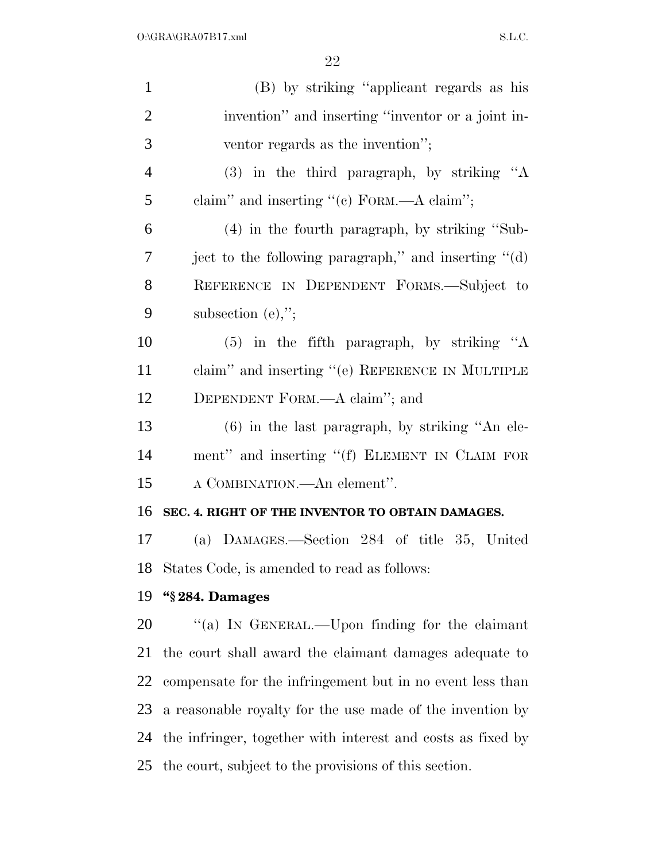| $\mathbf{1}$   | (B) by striking "applicant regards as his                   |
|----------------|-------------------------------------------------------------|
| $\overline{2}$ | invention" and inserting "inventor or a joint in-           |
| 3              | ventor regards as the invention";                           |
| $\overline{4}$ | $(3)$ in the third paragraph, by striking "A                |
| 5              | claim" and inserting " $(c)$ FORM.—A claim";                |
| 6              | $(4)$ in the fourth paragraph, by striking "Sub-            |
| 7              | ject to the following paragraph," and inserting "(d)        |
| 8              | REFERENCE IN DEPENDENT FORMS.-Subject to                    |
| 9              | subsection $(e)$ ,";                                        |
| 10             | $(5)$ in the fifth paragraph, by striking "A                |
| 11             | claim" and inserting " $(e)$ REFERENCE IN MULTIPLE          |
| 12             | DEPENDENT FORM.—A claim"; and                               |
| 13             | $(6)$ in the last paragraph, by striking "An ele-           |
| 14             | ment" and inserting "(f) ELEMENT IN CLAIM FOR               |
| 15             | A COMBINATION.—An element".                                 |
| 16             | SEC. 4. RIGHT OF THE INVENTOR TO OBTAIN DAMAGES.            |
| 17             | (a) DAMAGES.—Section 284 of title 35, United                |
|                | 18 States Code, is amended to read as follows:              |
| 19             | "§284. Damages                                              |
| 20             | "(a) IN GENERAL.—Upon finding for the claimant              |
| 21             | the court shall award the claimant damages adequate to      |
| 22             | compensate for the infringement but in no event less than   |
| 23             | a reasonable royalty for the use made of the invention by   |
| 24             | the infringer, together with interest and costs as fixed by |
| 25             | the court, subject to the provisions of this section.       |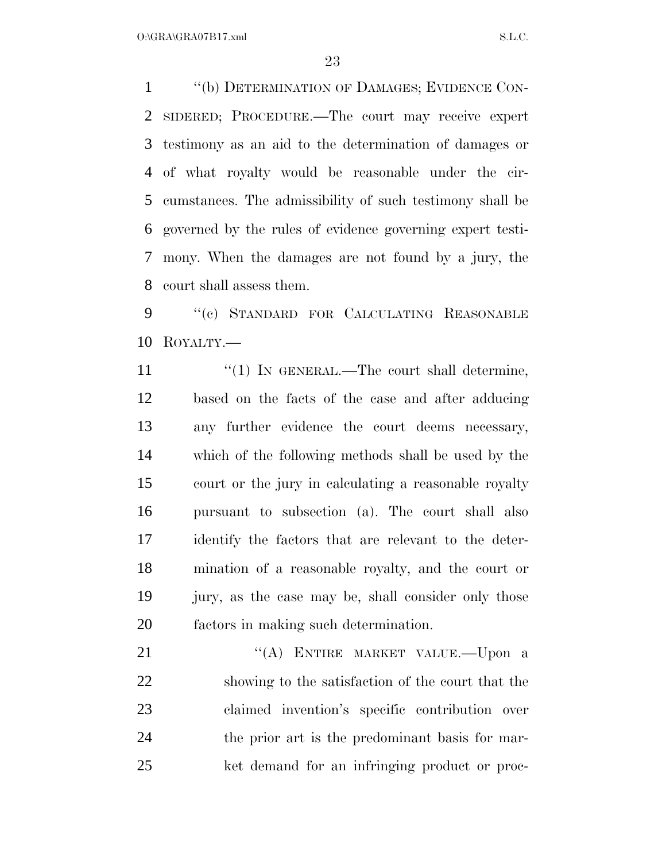''(b) DETERMINATION OF DAMAGES; EVIDENCE CON- SIDERED; PROCEDURE.—The court may receive expert testimony as an aid to the determination of damages or of what royalty would be reasonable under the cir- cumstances. The admissibility of such testimony shall be governed by the rules of evidence governing expert testi- mony. When the damages are not found by a jury, the court shall assess them.

9 "(c) STANDARD FOR CALCULATING REASONABLE ROYALTY.—

11 ''(1) IN GENERAL.—The court shall determine, based on the facts of the case and after adducing any further evidence the court deems necessary, which of the following methods shall be used by the court or the jury in calculating a reasonable royalty pursuant to subsection (a). The court shall also identify the factors that are relevant to the deter- mination of a reasonable royalty, and the court or jury, as the case may be, shall consider only those factors in making such determination.

21 "(A) ENTIRE MARKET VALUE.—Upon a showing to the satisfaction of the court that the claimed invention's specific contribution over the prior art is the predominant basis for mar-ket demand for an infringing product or proc-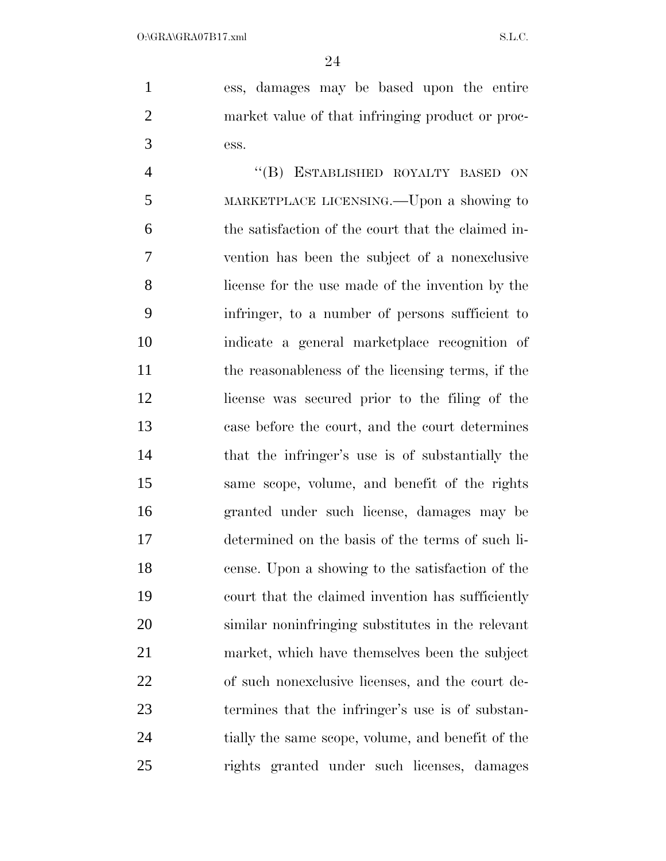ess, damages may be based upon the entire market value of that infringing product or proc-ess.

4 "(B) ESTABLISHED ROYALTY BASED ON MARKETPLACE LICENSING.—Upon a showing to the satisfaction of the court that the claimed in- vention has been the subject of a nonexclusive license for the use made of the invention by the infringer, to a number of persons sufficient to indicate a general marketplace recognition of the reasonableness of the licensing terms, if the license was secured prior to the filing of the case before the court, and the court determines that the infringer's use is of substantially the same scope, volume, and benefit of the rights granted under such license, damages may be determined on the basis of the terms of such li- cense. Upon a showing to the satisfaction of the court that the claimed invention has sufficiently similar noninfringing substitutes in the relevant market, which have themselves been the subject of such nonexclusive licenses, and the court de- termines that the infringer's use is of substan- tially the same scope, volume, and benefit of the rights granted under such licenses, damages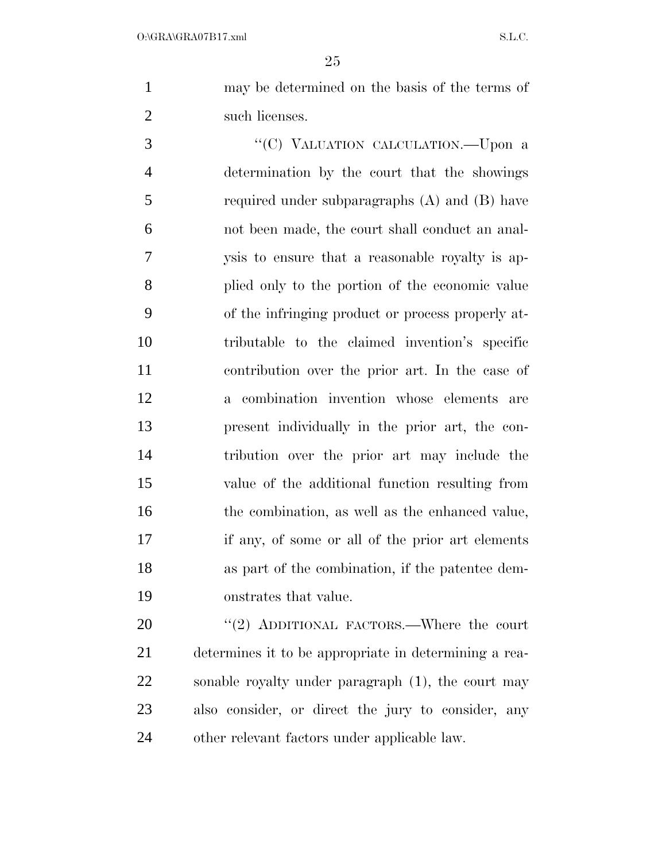may be determined on the basis of the terms of 2 such licenses.

3 "'(C) VALUATION CALCULATION.—Upon a determination by the court that the showings required under subparagraphs (A) and (B) have not been made, the court shall conduct an anal- ysis to ensure that a reasonable royalty is ap- plied only to the portion of the economic value of the infringing product or process properly at- tributable to the claimed invention's specific contribution over the prior art. In the case of a combination invention whose elements are present individually in the prior art, the con- tribution over the prior art may include the value of the additional function resulting from 16 the combination, as well as the enhanced value, if any, of some or all of the prior art elements as part of the combination, if the patentee dem-onstrates that value.

20 "(2) ADDITIONAL FACTORS.—Where the court determines it to be appropriate in determining a rea- sonable royalty under paragraph (1), the court may also consider, or direct the jury to consider, any other relevant factors under applicable law.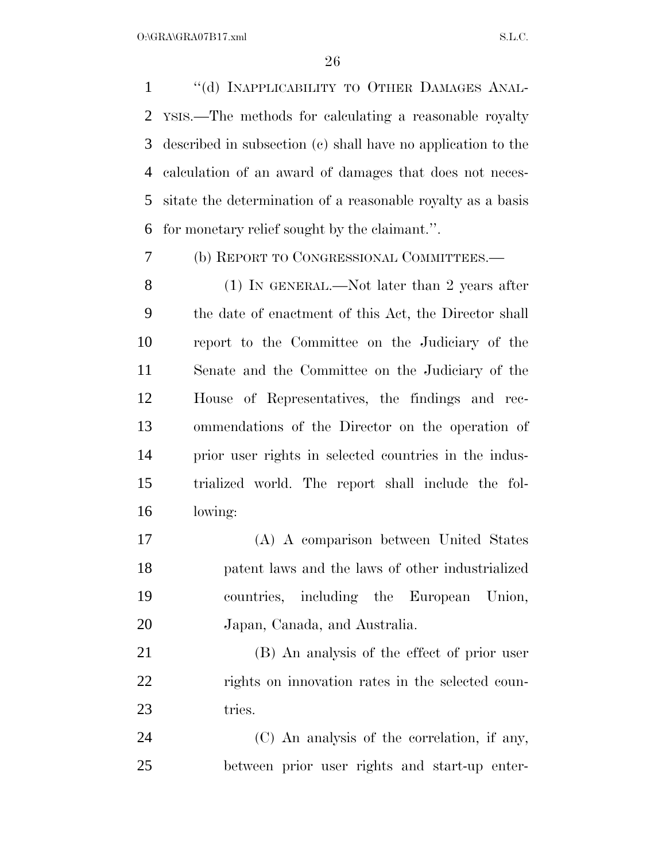1 "(d) INAPPLICABILITY TO OTHER DAMAGES ANAL- YSIS.—The methods for calculating a reasonable royalty described in subsection (c) shall have no application to the calculation of an award of damages that does not neces- sitate the determination of a reasonable royalty as a basis for monetary relief sought by the claimant.''.

(b) REPORT TO CONGRESSIONAL COMMITTEES.—

8 (1) IN GENERAL.—Not later than 2 years after the date of enactment of this Act, the Director shall report to the Committee on the Judiciary of the Senate and the Committee on the Judiciary of the House of Representatives, the findings and rec- ommendations of the Director on the operation of prior user rights in selected countries in the indus- trialized world. The report shall include the fol-lowing:

 (A) A comparison between United States patent laws and the laws of other industrialized countries, including the European Union, Japan, Canada, and Australia.

 (B) An analysis of the effect of prior user rights on innovation rates in the selected coun-23 tries.

 (C) An analysis of the correlation, if any, between prior user rights and start-up enter-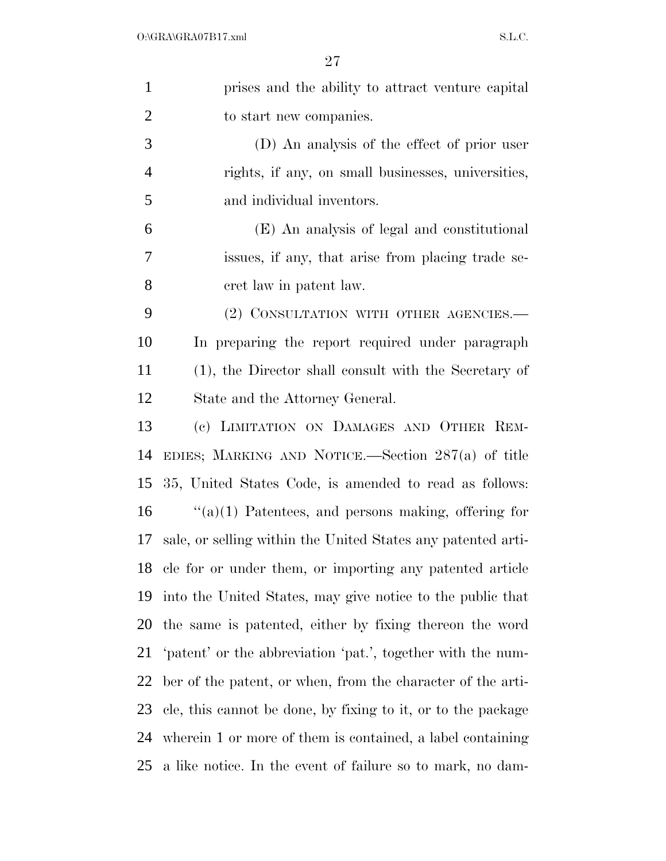| $\mathbf{1}$   | prises and the ability to attract venture capital            |
|----------------|--------------------------------------------------------------|
| $\overline{2}$ | to start new companies.                                      |
| 3              | (D) An analysis of the effect of prior user                  |
| $\overline{4}$ | rights, if any, on small businesses, universities,           |
| 5              | and individual inventors.                                    |
| 6              | (E) An analysis of legal and constitutional                  |
| 7              | issues, if any, that arise from placing trade se-            |
| 8              | cret law in patent law.                                      |
| 9              | (2) CONSULTATION WITH OTHER AGENCIES.—                       |
| 10             | In preparing the report required under paragraph             |
| 11             | (1), the Director shall consult with the Secretary of        |
| 12             | State and the Attorney General.                              |
| 13             | (c) LIMITATION ON DAMAGES AND OTHER REM-                     |
| 14             | EDIES; MARKING AND NOTICE.—Section $287(a)$ of title         |
| 15             | 35, United States Code, is amended to read as follows:       |
| 16             | $\lq(3)(1)$ Patentees, and persons making, offering for      |
| 17             | sale, or selling within the United States any patented arti- |
| 18             | cle for or under them, or importing any patented article     |
| 19             | into the United States, may give notice to the public that   |
| 20             | the same is patented, either by fixing thereon the word      |
| 21             | 'patent' or the abbreviation 'pat.', together with the num-  |
| 22             | ber of the patent, or when, from the character of the arti-  |
| 23             | cle, this cannot be done, by fixing to it, or to the package |
| 24             | wherein 1 or more of them is contained, a label containing   |
| 25             | a like notice. In the event of failure so to mark, no dam-   |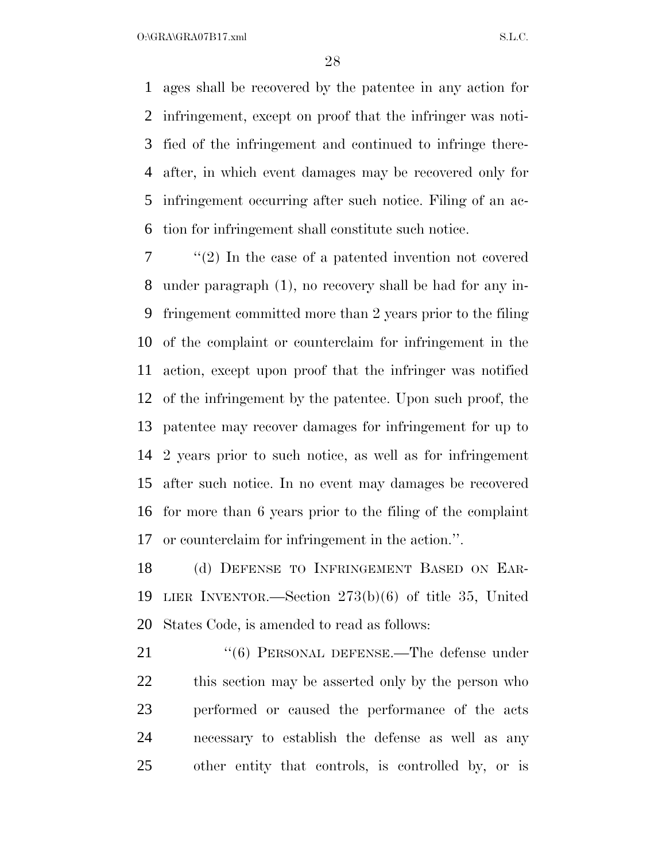$O:\overline{GRA}\setminus GRA$  and  $SL.C.$ 

 ages shall be recovered by the patentee in any action for infringement, except on proof that the infringer was noti- fied of the infringement and continued to infringe there- after, in which event damages may be recovered only for infringement occurring after such notice. Filing of an ac-tion for infringement shall constitute such notice.

 ''(2) In the case of a patented invention not covered under paragraph (1), no recovery shall be had for any in- fringement committed more than 2 years prior to the filing of the complaint or counterclaim for infringement in the action, except upon proof that the infringer was notified of the infringement by the patentee. Upon such proof, the patentee may recover damages for infringement for up to 2 years prior to such notice, as well as for infringement after such notice. In no event may damages be recovered for more than 6 years prior to the filing of the complaint or counterclaim for infringement in the action.''.

 (d) DEFENSE TO INFRINGEMENT BASED ON EAR- LIER INVENTOR.—Section 273(b)(6) of title 35, United States Code, is amended to read as follows:

21 "(6) PERSONAL DEFENSE.—The defense under this section may be asserted only by the person who performed or caused the performance of the acts necessary to establish the defense as well as any other entity that controls, is controlled by, or is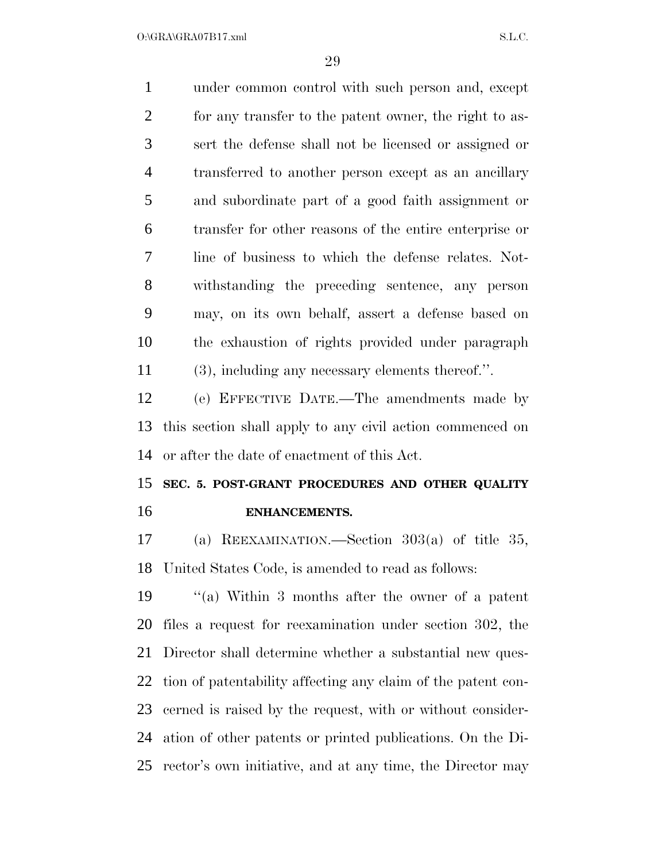$O:\overline{GRA}\setminus GRA$  and  $SL.C.$ 

 under common control with such person and, except for any transfer to the patent owner, the right to as- sert the defense shall not be licensed or assigned or transferred to another person except as an ancillary and subordinate part of a good faith assignment or transfer for other reasons of the entire enterprise or line of business to which the defense relates. Not- withstanding the preceding sentence, any person may, on its own behalf, assert a defense based on the exhaustion of rights provided under paragraph (3), including any necessary elements thereof.''. (e) EFFECTIVE DATE.—The amendments made by this section shall apply to any civil action commenced on

or after the date of enactment of this Act.

# **SEC. 5. POST-GRANT PROCEDURES AND OTHER QUALITY ENHANCEMENTS.**

 (a) REEXAMINATION.—Section 303(a) of title 35, United States Code, is amended to read as follows:

 ''(a) Within 3 months after the owner of a patent files a request for reexamination under section 302, the Director shall determine whether a substantial new ques- tion of patentability affecting any claim of the patent con- cerned is raised by the request, with or without consider- ation of other patents or printed publications. On the Di-rector's own initiative, and at any time, the Director may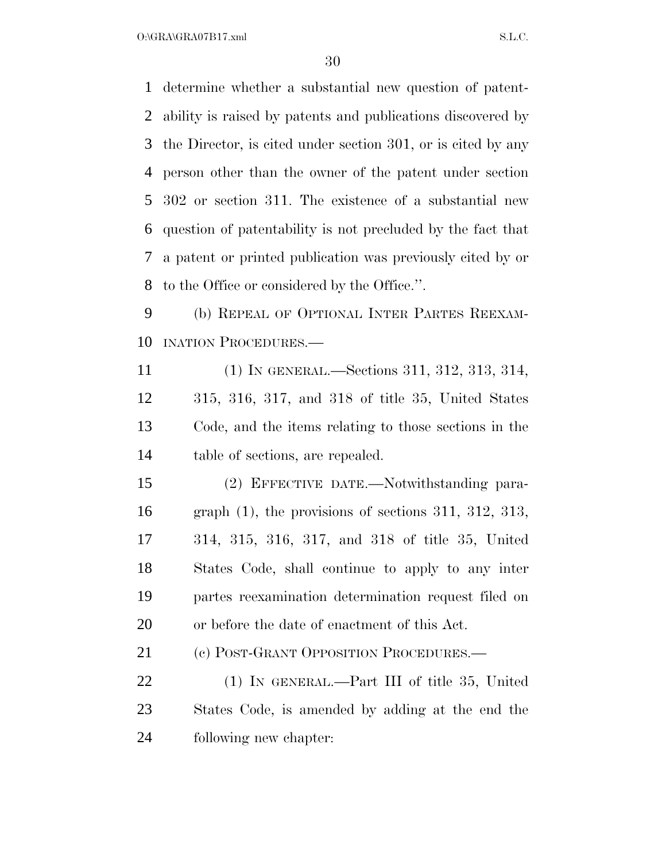$O:\overline{GRA}\setminus GRA$   $SL.C.$ 

 determine whether a substantial new question of patent- ability is raised by patents and publications discovered by the Director, is cited under section 301, or is cited by any person other than the owner of the patent under section 302 or section 311. The existence of a substantial new question of patentability is not precluded by the fact that a patent or printed publication was previously cited by or to the Office or considered by the Office.''.

 (b) REPEAL OF OPTIONAL INTER PARTES REEXAM-INATION PROCEDURES.—

 (1) IN GENERAL.—Sections 311, 312, 313, 314, 315, 316, 317, and 318 of title 35, United States Code, and the items relating to those sections in the table of sections, are repealed.

 (2) EFFECTIVE DATE.—Notwithstanding para- graph (1), the provisions of sections 311, 312, 313, 314, 315, 316, 317, and 318 of title 35, United States Code, shall continue to apply to any inter partes reexamination determination request filed on or before the date of enactment of this Act.

21 (c) POST-GRANT OPPOSITION PROCEDURES.—

 (1) IN GENERAL.—Part III of title 35, United States Code, is amended by adding at the end the following new chapter: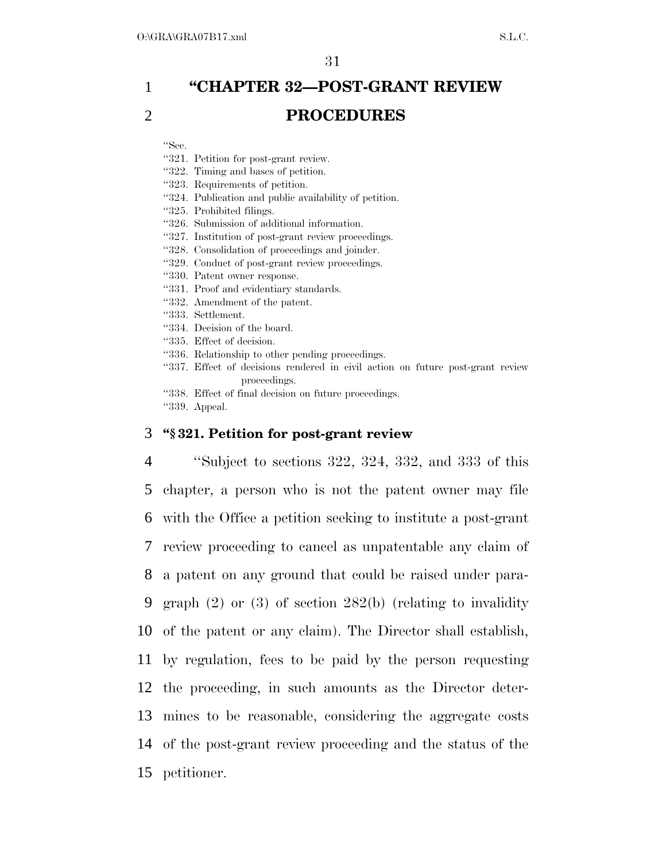# 1 **''CHAPTER 32—POST-GRANT REVIEW**  2 **PROCEDURES**

''Sec.

''321. Petition for post-grant review.

''322. Timing and bases of petition.

''323. Requirements of petition.

''324. Publication and public availability of petition.

''325. Prohibited filings.

''326. Submission of additional information.

''327. Institution of post-grant review proceedings.

''328. Consolidation of proceedings and joinder.

''329. Conduct of post-grant review proceedings.

''330. Patent owner response.

''331. Proof and evidentiary standards.

''332. Amendment of the patent.

- ''333. Settlement.
- ''334. Decision of the board.

''335. Effect of decision.

- ''336. Relationship to other pending proceedings.
- ''337. Effect of decisions rendered in civil action on future post-grant review proceedings.

''338. Effect of final decision on future proceedings.

''339. Appeal.

#### 3 **''§ 321. Petition for post-grant review**

 ''Subject to sections 322, 324, 332, and 333 of this chapter, a person who is not the patent owner may file with the Office a petition seeking to institute a post-grant review proceeding to cancel as unpatentable any claim of a patent on any ground that could be raised under para- graph (2) or (3) of section 282(b) (relating to invalidity of the patent or any claim). The Director shall establish, by regulation, fees to be paid by the person requesting the proceeding, in such amounts as the Director deter- mines to be reasonable, considering the aggregate costs of the post-grant review proceeding and the status of the petitioner.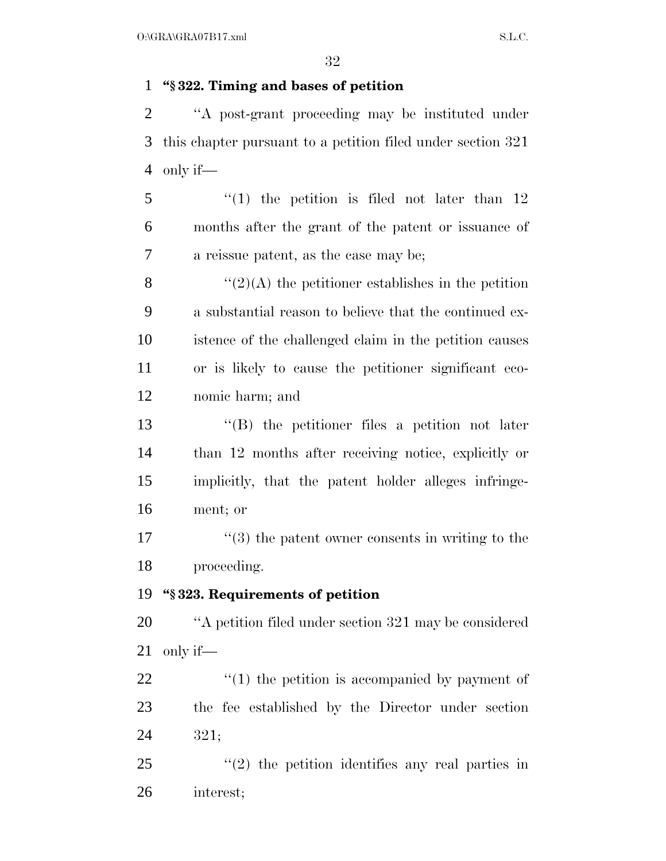### **''§ 322. Timing and bases of petition**

 ''A post-grant proceeding may be instituted under this chapter pursuant to a petition filed under section 321 only if—

 ''(1) the petition is filed not later than 12 months after the grant of the patent or issuance of a reissue patent, as the case may be;

 $\frac{1}{2}(2)$  (A) the petitioner establishes in the petition a substantial reason to believe that the continued ex- istence of the challenged claim in the petition causes or is likely to cause the petitioner significant eco-nomic harm; and

 ''(B) the petitioner files a petition not later than 12 months after receiving notice, explicitly or implicitly, that the patent holder alleges infringe-ment; or

17 ''(3) the patent owner consents in writing to the proceeding.

#### **''§ 323. Requirements of petition**

 ''A petition filed under section 321 may be considered only if—

22  $\frac{1}{2}$  (1) the petition is accompanied by payment of the fee established by the Director under section 321;

25 "(2) the petition identifies any real parties in interest;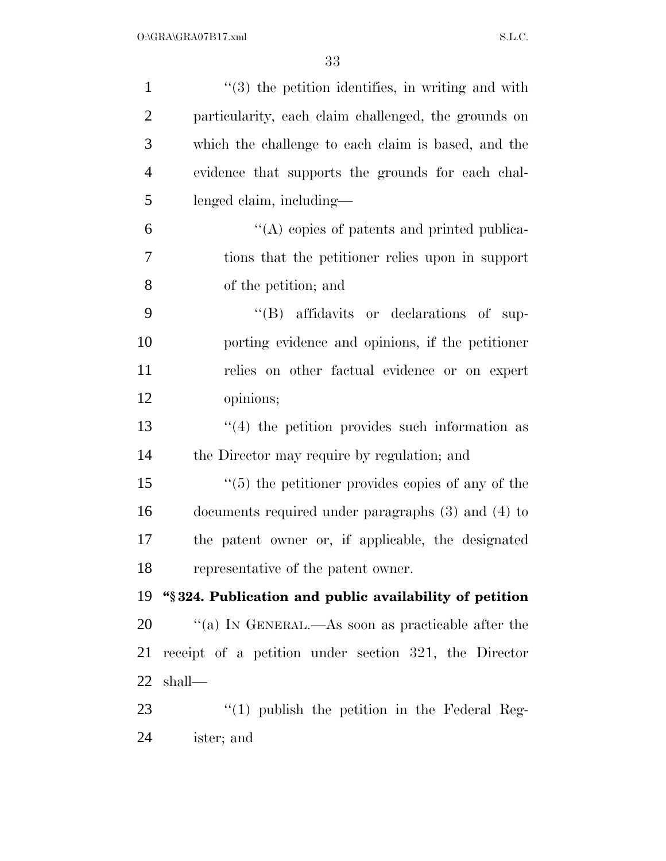| $\mathbf{1}$   | $\cdot\cdot$ (3) the petition identifies, in writing and with |
|----------------|---------------------------------------------------------------|
| $\overline{2}$ | particularity, each claim challenged, the grounds on          |
| 3              | which the challenge to each claim is based, and the           |
| $\overline{4}$ | evidence that supports the grounds for each chal-             |
| 5              | lenged claim, including—                                      |
| 6              | "(A) copies of patents and printed publica-                   |
| 7              | tions that the petitioner relies upon in support              |
| 8              | of the petition; and                                          |
| 9              | "(B) affidavits or declarations of sup-                       |
| 10             | porting evidence and opinions, if the petitioner              |
| 11             | relies on other factual evidence or on expert                 |
| 12             | opinions;                                                     |
| 13             | $(4)$ the petition provides such information as               |
| 14             | the Director may require by regulation; and                   |
| 15             | $\lq(5)$ the petitioner provides copies of any of the         |
| 16             | documents required under paragraphs $(3)$ and $(4)$ to        |
| 17             | the patent owner or, if applicable, the designated            |
| 18             | representative of the patent owner.                           |
| 19             | "§324. Publication and public availability of petition        |
| 20             | "(a) IN GENERAL.—As soon as practicable after the             |
| 21             | receipt of a petition under section 321, the Director         |
| 22             | shall—                                                        |
| 23             | $\lq(1)$ publish the petition in the Federal Reg-             |
| 24             | ister; and                                                    |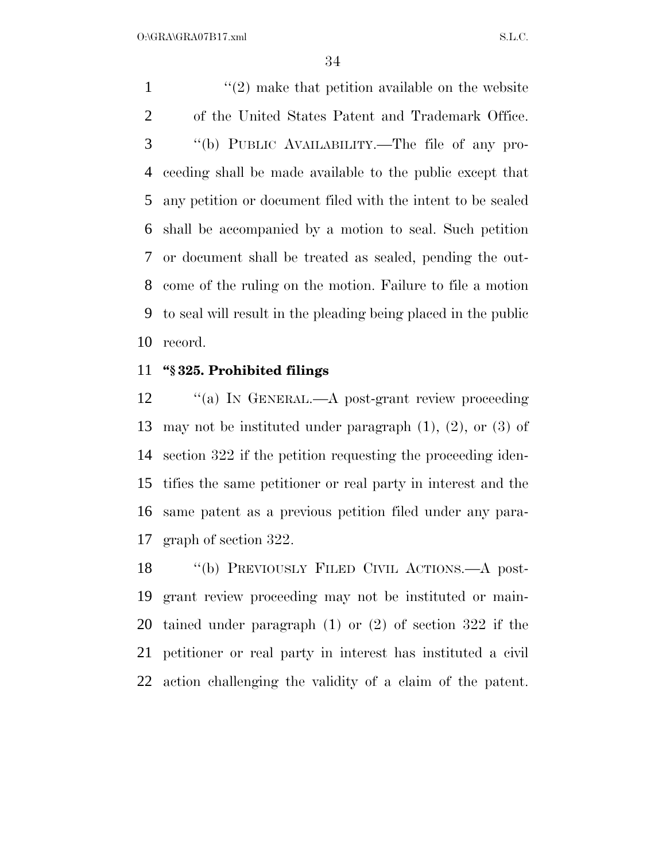$\frac{1}{2}$  make that petition available on the website of the United States Patent and Trademark Office. ''(b) PUBLIC AVAILABILITY.—The file of any pro- ceeding shall be made available to the public except that any petition or document filed with the intent to be sealed shall be accompanied by a motion to seal. Such petition or document shall be treated as sealed, pending the out- come of the ruling on the motion. Failure to file a motion to seal will result in the pleading being placed in the public record.

#### **''§ 325. Prohibited filings**

12 "(a) In GENERAL.—A post-grant review proceeding may not be instituted under paragraph (1), (2), or (3) of section 322 if the petition requesting the proceeding iden- tifies the same petitioner or real party in interest and the same patent as a previous petition filed under any para-graph of section 322.

 ''(b) PREVIOUSLY FILED CIVIL ACTIONS.—A post- grant review proceeding may not be instituted or main- tained under paragraph (1) or (2) of section 322 if the petitioner or real party in interest has instituted a civil action challenging the validity of a claim of the patent.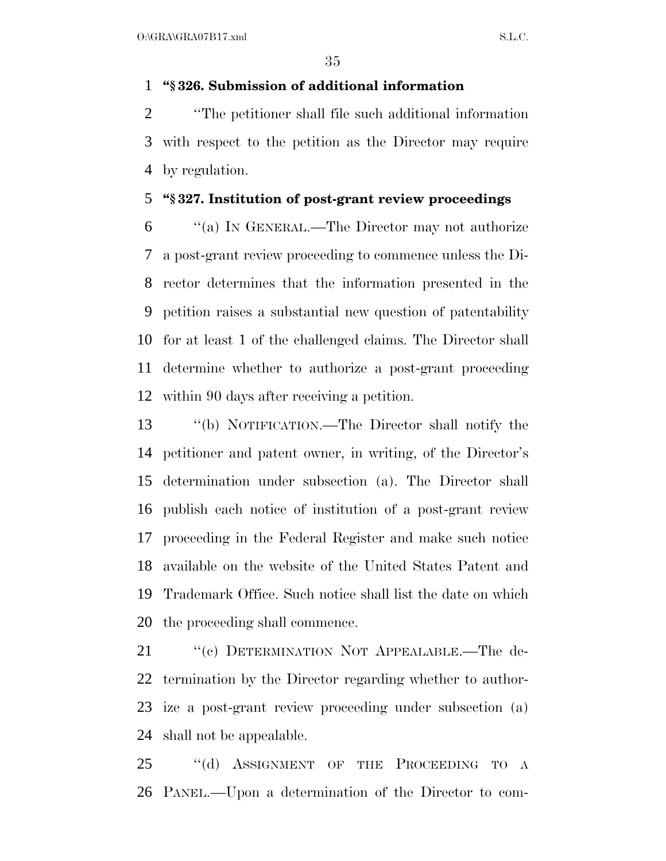### **''§ 326. Submission of additional information**

 ''The petitioner shall file such additional information with respect to the petition as the Director may require by regulation.

#### **''§ 327. Institution of post-grant review proceedings**

 ''(a) IN GENERAL.—The Director may not authorize a post-grant review proceeding to commence unless the Di- rector determines that the information presented in the petition raises a substantial new question of patentability for at least 1 of the challenged claims. The Director shall determine whether to authorize a post-grant proceeding within 90 days after receiving a petition.

 ''(b) NOTIFICATION.—The Director shall notify the petitioner and patent owner, in writing, of the Director's determination under subsection (a). The Director shall publish each notice of institution of a post-grant review proceeding in the Federal Register and make such notice available on the website of the United States Patent and Trademark Office. Such notice shall list the date on which the proceeding shall commence.

21 "(c) DETERMINATION NOT APPEALABLE.—The de- termination by the Director regarding whether to author- ize a post-grant review proceeding under subsection (a) shall not be appealable.

25 "(d) ASSIGNMENT OF THE PROCEEDING TO A PANEL.—Upon a determination of the Director to com-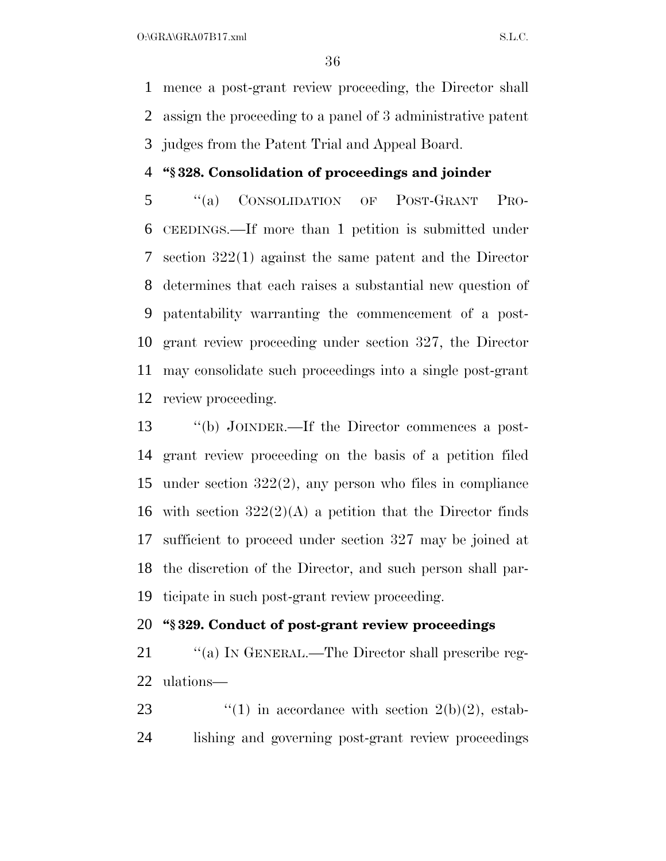mence a post-grant review proceeding, the Director shall assign the proceeding to a panel of 3 administrative patent judges from the Patent Trial and Appeal Board.

#### **''§ 328. Consolidation of proceedings and joinder**

 ''(a) CONSOLIDATION OF POST-GRANT PRO- CEEDINGS.—If more than 1 petition is submitted under section 322(1) against the same patent and the Director determines that each raises a substantial new question of patentability warranting the commencement of a post- grant review proceeding under section 327, the Director may consolidate such proceedings into a single post-grant review proceeding.

 ''(b) JOINDER.—If the Director commences a post- grant review proceeding on the basis of a petition filed under section 322(2), any person who files in compliance 16 with section  $322(2)(\text{A})$  a petition that the Director finds sufficient to proceed under section 327 may be joined at the discretion of the Director, and such person shall par-ticipate in such post-grant review proceeding.

# **''§ 329. Conduct of post-grant review proceedings**

21 "(a) IN GENERAL.—The Director shall prescribe reg-ulations—

23  $\qquad$  (1) in accordance with section 2(b)(2), estab-lishing and governing post-grant review proceedings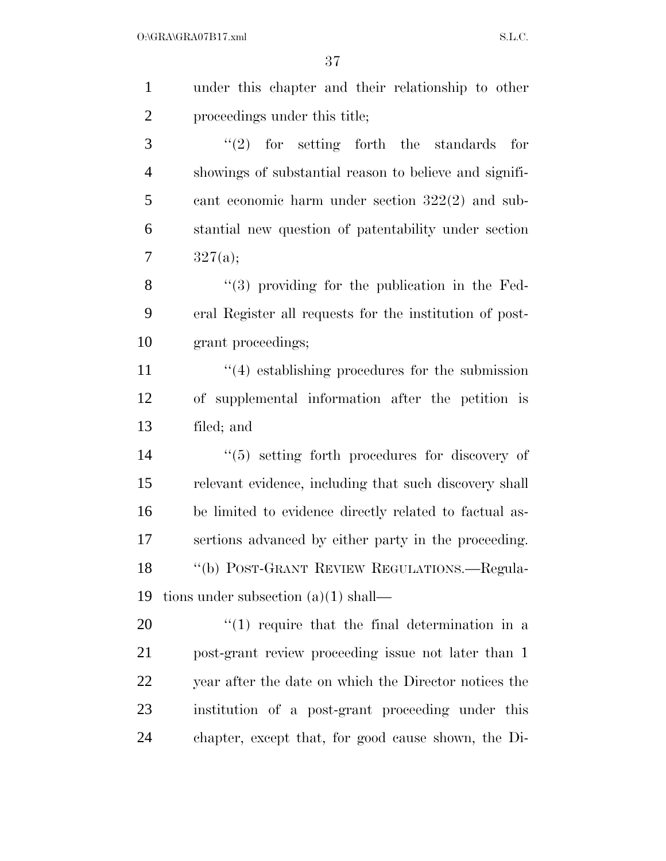| $\mathbf{1}$   | under this chapter and their relationship to other         |
|----------------|------------------------------------------------------------|
| $\overline{2}$ | proceedings under this title;                              |
| 3              | $(2)$ for setting forth the standards<br>for               |
| $\overline{4}$ | showings of substantial reason to believe and signifi-     |
| 5              | cant economic harm under section $322(2)$ and sub-         |
| 6              | stantial new question of patentability under section       |
| 7              | 327(a);                                                    |
| 8              | $(3)$ providing for the publication in the Fed-            |
| 9              | eral Register all requests for the institution of post-    |
| 10             | grant proceedings;                                         |
| 11             | $\cdot$ (4) establishing procedures for the submission     |
| 12             | of supplemental information after the petition is          |
| 13             | filed; and                                                 |
| 14             | $\cdot\cdot$ (5) setting forth procedures for discovery of |
| 15             | relevant evidence, including that such discovery shall     |
| 16             | be limited to evidence directly related to factual as-     |
| 17             | sertions advanced by either party in the proceeding.       |
| 18             | "(b) POST-GRANT REVIEW REGULATIONS.—Regula-                |
| 19             | tions under subsection $(a)(1)$ shall—                     |
| 20             | $\lq(1)$ require that the final determination in a         |
| 21             | post-grant review proceeding issue not later than 1        |
| 22             | year after the date on which the Director notices the      |
| 23             | institution of a post-grant proceeding under this          |
| 24             | chapter, except that, for good cause shown, the Di-        |
|                |                                                            |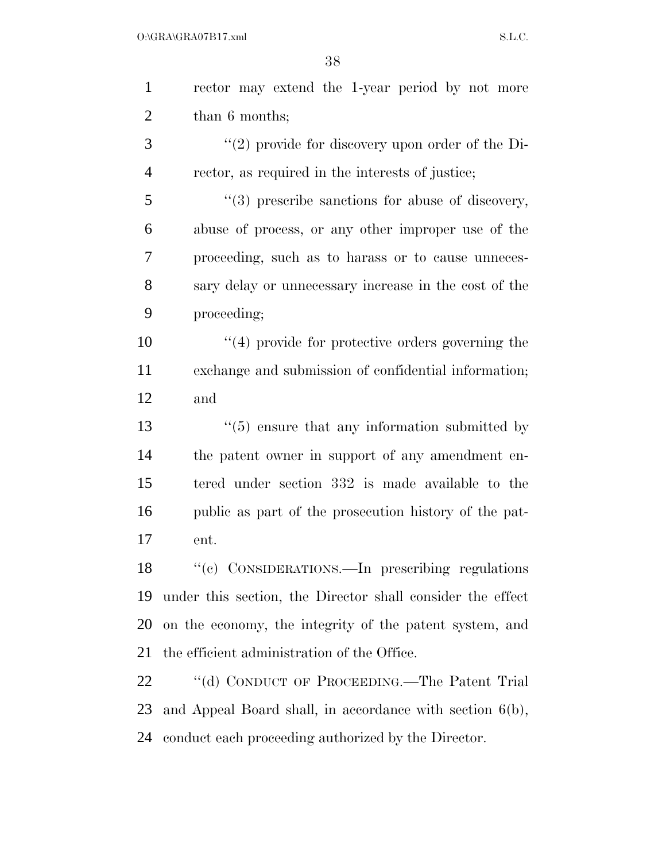| $\mathbf{1}$   | rector may extend the 1-year period by not more             |
|----------------|-------------------------------------------------------------|
| $\overline{2}$ | than 6 months;                                              |
| 3              | "(2) provide for discovery upon order of the Di-            |
| $\overline{4}$ | rector, as required in the interests of justice;            |
| 5              | $\lq(3)$ prescribe sanctions for abuse of discovery,        |
| 6              | abuse of process, or any other improper use of the          |
| 7              | proceeding, such as to harass or to cause unneces-          |
| 8              | sary delay or unnecessary increase in the cost of the       |
| 9              | proceeding;                                                 |
| 10             | $\cdot$ (4) provide for protective orders governing the     |
| 11             | exchange and submission of confidential information;        |
| 12             | and                                                         |
| 13             | $\cdot\cdot$ (5) ensure that any information submitted by   |
| 14             | the patent owner in support of any amendment en-            |
| 15             | tered under section 332 is made available to the            |
| 16             | public as part of the prosecution history of the pat-       |
| 17             | ent.                                                        |
| 18             | "(c) CONSIDERATIONS.—In prescribing regulations             |
| 19             | under this section, the Director shall consider the effect  |
| 20             | on the economy, the integrity of the patent system, and     |
| 21             | the efficient administration of the Office.                 |
| 22             | "(d) CONDUCT OF PROCEEDING.—The Patent Trial                |
| 23             | and Appeal Board shall, in accordance with section $6(b)$ , |
| 24             | conduct each proceeding authorized by the Director.         |
|                |                                                             |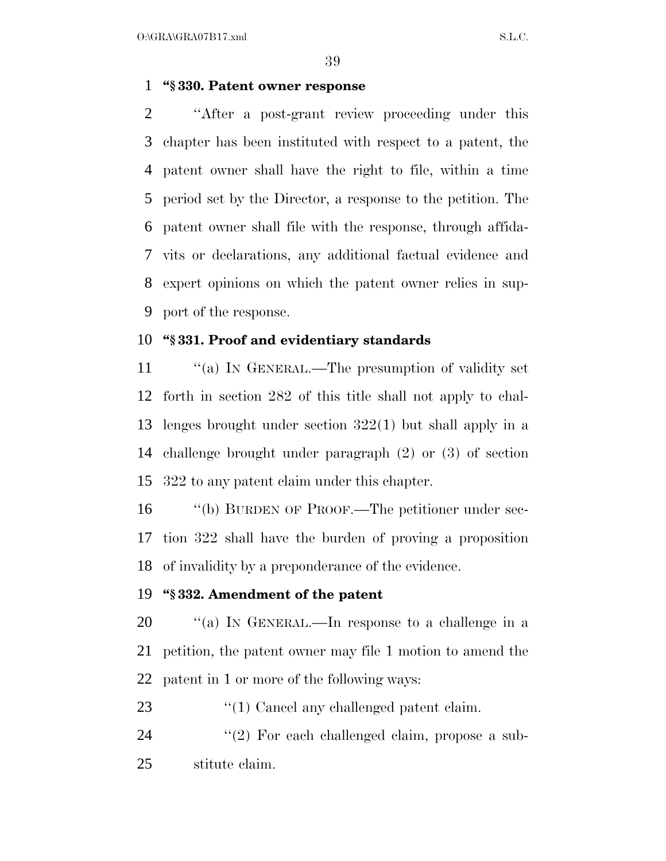$O:\overline{GRA}\setminus GRA$   $SL.C.$ 

#### **''§ 330. Patent owner response**

 ''After a post-grant review proceeding under this chapter has been instituted with respect to a patent, the patent owner shall have the right to file, within a time period set by the Director, a response to the petition. The patent owner shall file with the response, through affida- vits or declarations, any additional factual evidence and expert opinions on which the patent owner relies in sup-port of the response.

#### **''§ 331. Proof and evidentiary standards**

11 "(a) In GENERAL.—The presumption of validity set forth in section 282 of this title shall not apply to chal- lenges brought under section 322(1) but shall apply in a challenge brought under paragraph (2) or (3) of section 322 to any patent claim under this chapter.

 ''(b) BURDEN OF PROOF.—The petitioner under sec- tion 322 shall have the burden of proving a proposition of invalidity by a preponderance of the evidence.

#### **''§ 332. Amendment of the patent**

 ''(a) IN GENERAL.—In response to a challenge in a petition, the patent owner may file 1 motion to amend the patent in 1 or more of the following ways:

23 "(1) Cancel any challenged patent claim.

24 "(2) For each challenged claim, propose a sub-stitute claim.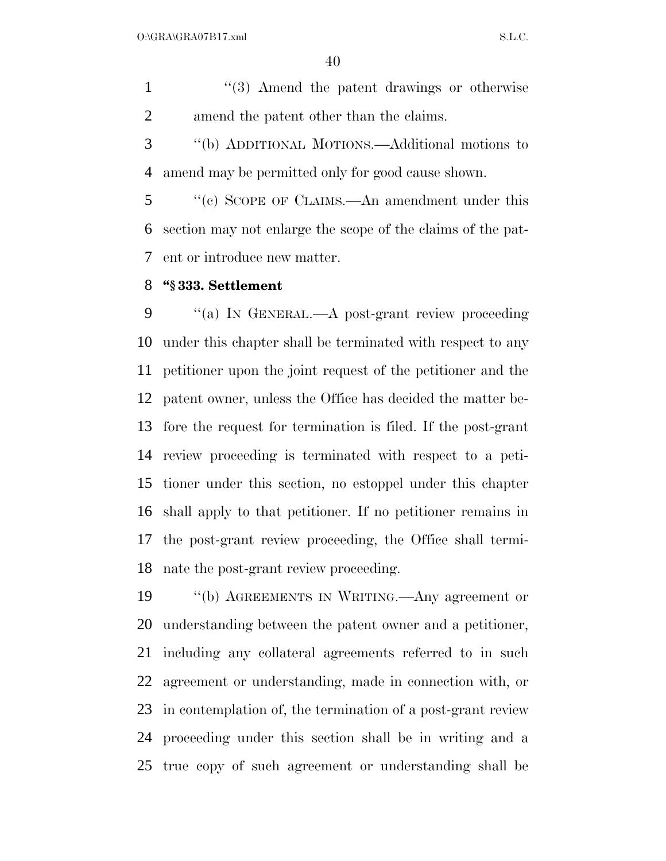1 ''(3) Amend the patent drawings or otherwise amend the patent other than the claims.

 ''(b) ADDITIONAL MOTIONS.—Additional motions to amend may be permitted only for good cause shown.

 ''(c) SCOPE OF CLAIMS.—An amendment under this section may not enlarge the scope of the claims of the pat-ent or introduce new matter.

#### **''§ 333. Settlement**

 ''(a) IN GENERAL.—A post-grant review proceeding under this chapter shall be terminated with respect to any petitioner upon the joint request of the petitioner and the patent owner, unless the Office has decided the matter be- fore the request for termination is filed. If the post-grant review proceeding is terminated with respect to a peti- tioner under this section, no estoppel under this chapter shall apply to that petitioner. If no petitioner remains in the post-grant review proceeding, the Office shall termi-nate the post-grant review proceeding.

 ''(b) AGREEMENTS IN WRITING.—Any agreement or understanding between the patent owner and a petitioner, including any collateral agreements referred to in such agreement or understanding, made in connection with, or in contemplation of, the termination of a post-grant review proceeding under this section shall be in writing and a true copy of such agreement or understanding shall be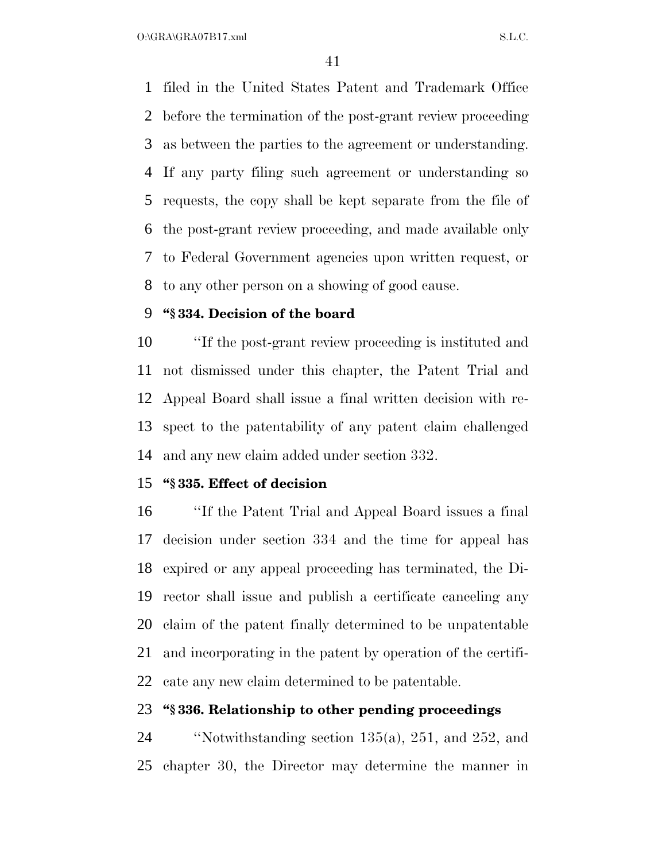$O:\overline{GRA}\setminus GRA$  and  $SL.C.$ 

 filed in the United States Patent and Trademark Office before the termination of the post-grant review proceeding as between the parties to the agreement or understanding. If any party filing such agreement or understanding so requests, the copy shall be kept separate from the file of the post-grant review proceeding, and made available only to Federal Government agencies upon written request, or to any other person on a showing of good cause.

#### **''§ 334. Decision of the board**

 ''If the post-grant review proceeding is instituted and not dismissed under this chapter, the Patent Trial and Appeal Board shall issue a final written decision with re- spect to the patentability of any patent claim challenged and any new claim added under section 332.

#### **''§ 335. Effect of decision**

 ''If the Patent Trial and Appeal Board issues a final decision under section 334 and the time for appeal has expired or any appeal proceeding has terminated, the Di- rector shall issue and publish a certificate canceling any claim of the patent finally determined to be unpatentable and incorporating in the patent by operation of the certifi-cate any new claim determined to be patentable.

#### **''§ 336. Relationship to other pending proceedings**

 ''Notwithstanding section 135(a), 251, and 252, and chapter 30, the Director may determine the manner in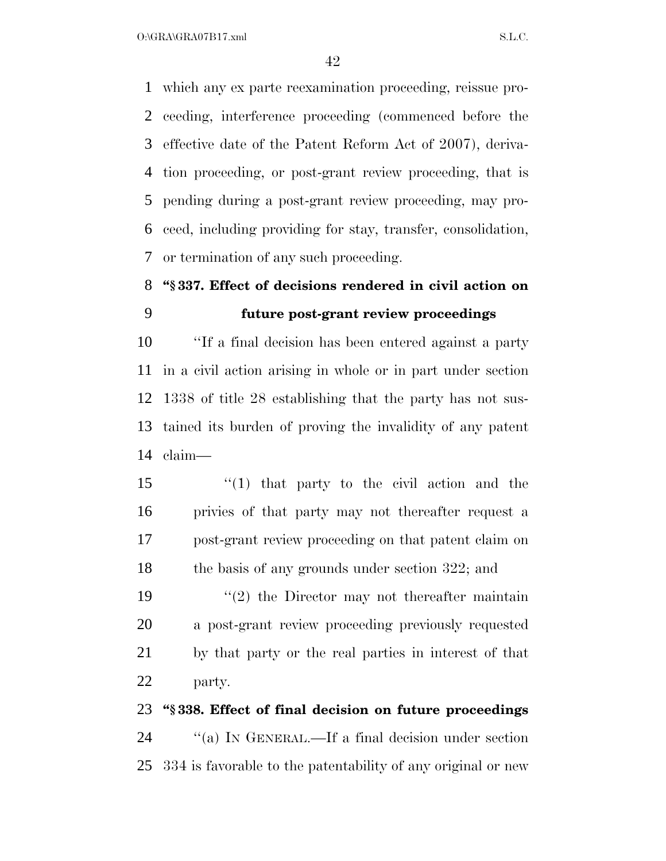$O:\overline{GRA}\setminus GRA$  and  $SL.C.$ 

 which any ex parte reexamination proceeding, reissue pro- ceeding, interference proceeding (commenced before the effective date of the Patent Reform Act of 2007), deriva- tion proceeding, or post-grant review proceeding, that is pending during a post-grant review proceeding, may pro- ceed, including providing for stay, transfer, consolidation, or termination of any such proceeding.

# **''§ 337. Effect of decisions rendered in civil action on future post-grant review proceedings**

 ''If a final decision has been entered against a party in a civil action arising in whole or in part under section 1338 of title 28 establishing that the party has not sus- tained its burden of proving the invalidity of any patent claim—

 ''(1) that party to the civil action and the privies of that party may not thereafter request a post-grant review proceeding on that patent claim on 18 the basis of any grounds under section 322; and

 $(2)$  the Director may not thereafter maintain a post-grant review proceeding previously requested by that party or the real parties in interest of that party.

### **''§ 338. Effect of final decision on future proceedings**

 ''(a) IN GENERAL.—If a final decision under section 334 is favorable to the patentability of any original or new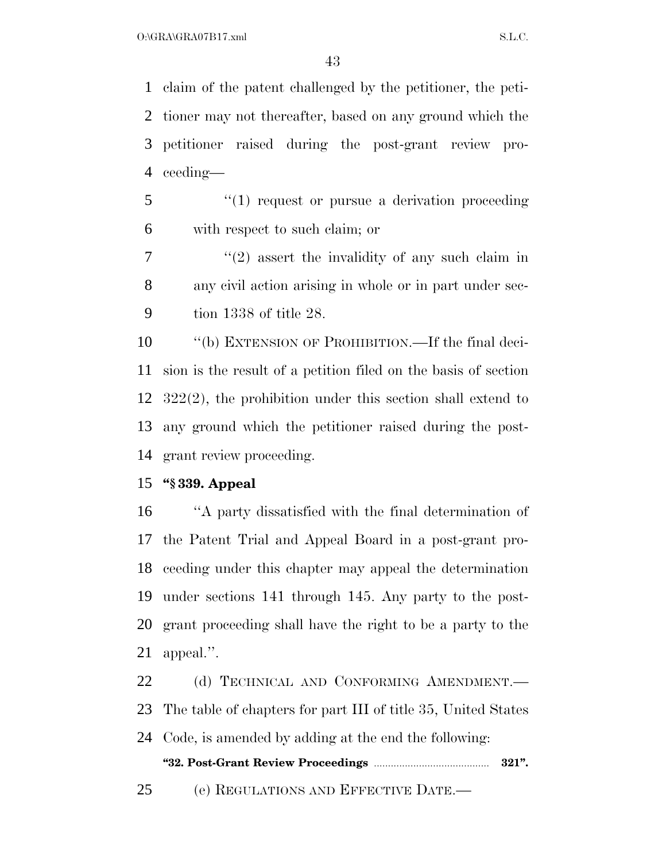claim of the patent challenged by the petitioner, the peti- tioner may not thereafter, based on any ground which the petitioner raised during the post-grant review pro-ceeding—

5 "(1) request or pursue a derivation proceeding with respect to such claim; or

 $7 \t$  "(2) assert the invalidity of any such claim in any civil action arising in whole or in part under sec-tion 1338 of title 28.

 ''(b) EXTENSION OF PROHIBITION.—If the final deci- sion is the result of a petition filed on the basis of section 322(2), the prohibition under this section shall extend to any ground which the petitioner raised during the post-grant review proceeding.

#### **''§ 339. Appeal**

 ''A party dissatisfied with the final determination of the Patent Trial and Appeal Board in a post-grant pro- ceeding under this chapter may appeal the determination under sections 141 through 145. Any party to the post- grant proceeding shall have the right to be a party to the appeal.''.

22 (d) TECHNICAL AND CONFORMING AMENDMENT. The table of chapters for part III of title 35, United States Code, is amended by adding at the end the following: **''32. Post-Grant Review Proceedings** ......................................... **321''.** (e) REGULATIONS AND EFFECTIVE DATE.—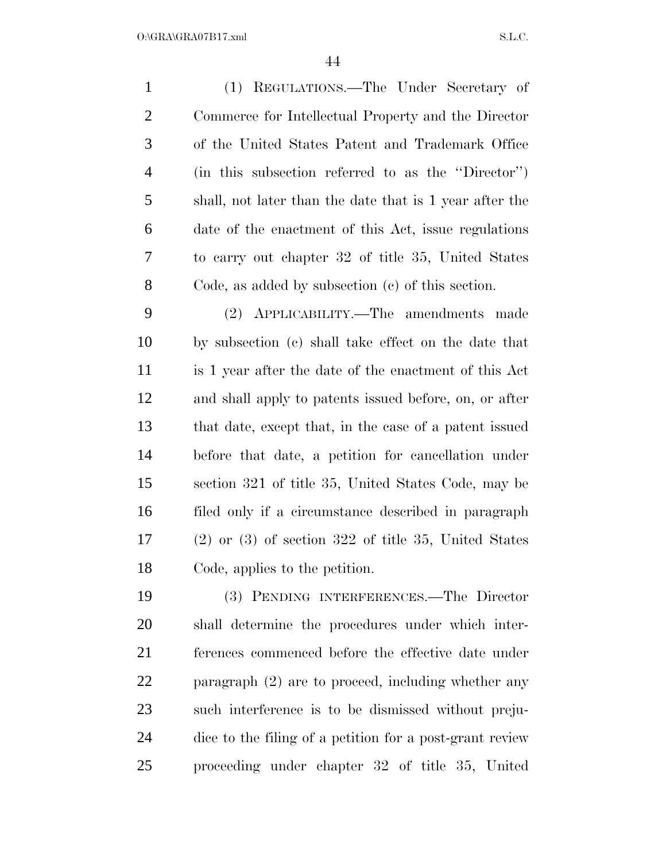| $\mathbf{1}$   | (1) REGULATIONS.—The Under Secretary of                  |
|----------------|----------------------------------------------------------|
| $\overline{2}$ | Commerce for Intellectual Property and the Director      |
| 3              | of the United States Patent and Trademark Office         |
| $\overline{4}$ | (in this subsection referred to as the "Director")       |
| 5              | shall, not later than the date that is 1 year after the  |
| 6              | date of the enactment of this Act, issue regulations     |
| 7              | to carry out chapter 32 of title 35, United States       |
| 8              | Code, as added by subsection $(e)$ of this section.      |
| 9              | (2) APPLICABILITY.—The amendments made                   |
| 10             | by subsection (c) shall take effect on the date that     |
| 11             | is 1 year after the date of the enactment of this Act    |
| 12             | and shall apply to patents issued before, on, or after   |
| 13             | that date, except that, in the case of a patent issued   |
| 14             | before that date, a petition for cancellation under      |
| 15             | section 321 of title 35, United States Code, may be      |
| 16             | filed only if a circumstance described in paragraph      |
| 17             | $(2)$ or $(3)$ of section 322 of title 35, United States |
| 18             | Code, applies to the petition.                           |

 (3) PENDING INTERFERENCES.—The Director shall determine the procedures under which inter- ferences commenced before the effective date under paragraph (2) are to proceed, including whether any such interference is to be dismissed without preju- dice to the filing of a petition for a post-grant review proceeding under chapter 32 of title 35, United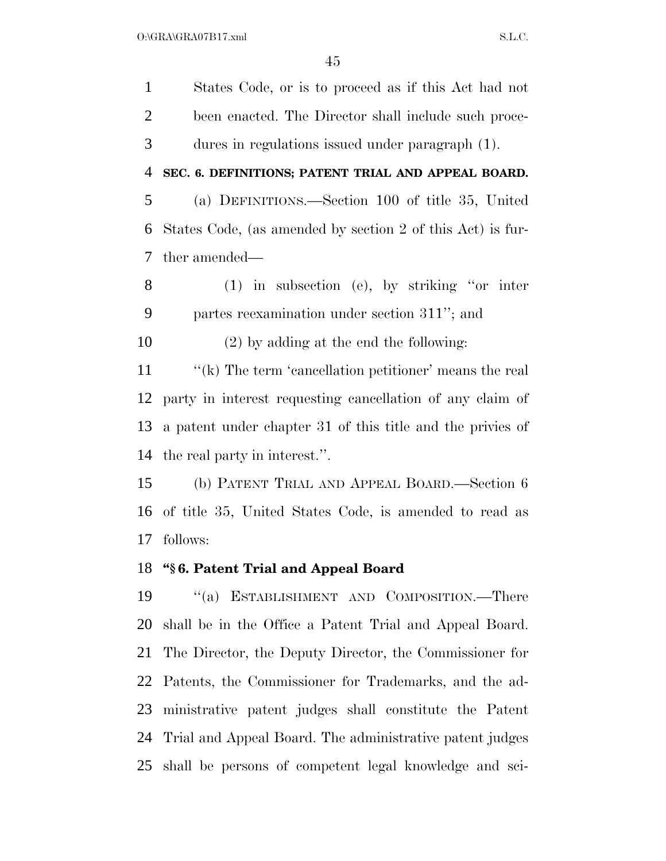States Code, or is to proceed as if this Act had not been enacted. The Director shall include such proce- dures in regulations issued under paragraph (1). **SEC. 6. DEFINITIONS; PATENT TRIAL AND APPEAL BOARD.**  (a) DEFINITIONS.—Section 100 of title 35, United States Code, (as amended by section 2 of this Act) is fur- ther amended— (1) in subsection (e), by striking ''or inter partes reexamination under section 311''; and (2) by adding at the end the following: 11 ''(k) The term 'cancellation petitioner' means the real party in interest requesting cancellation of any claim of a patent under chapter 31 of this title and the privies of the real party in interest.''. (b) PATENT TRIAL AND APPEAL BOARD.—Section 6 of title 35, United States Code, is amended to read as follows: **''§ 6. Patent Trial and Appeal Board**  ''(a) ESTABLISHMENT AND COMPOSITION.—There shall be in the Office a Patent Trial and Appeal Board. The Director, the Deputy Director, the Commissioner for Patents, the Commissioner for Trademarks, and the ad-ministrative patent judges shall constitute the Patent

 Trial and Appeal Board. The administrative patent judges shall be persons of competent legal knowledge and sci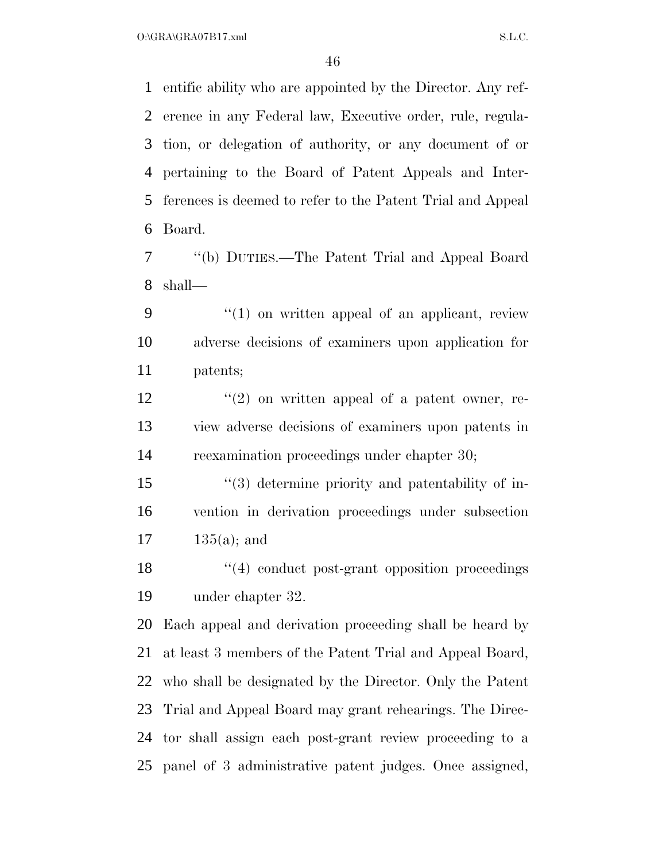$O:\overline{GRA}\setminus GRA$  and  $S.L.C.$ 

 entific ability who are appointed by the Director. Any ref- erence in any Federal law, Executive order, rule, regula- tion, or delegation of authority, or any document of or pertaining to the Board of Patent Appeals and Inter- ferences is deemed to refer to the Patent Trial and Appeal Board.

 ''(b) DUTIES.—The Patent Trial and Appeal Board shall—

 ''(1) on written appeal of an applicant, review adverse decisions of examiners upon application for patents;

 $\frac{12}{2}$  ''(2) on written appeal of a patent owner, re- view adverse decisions of examiners upon patents in reexamination proceedings under chapter 30;

 ''(3) determine priority and patentability of in- vention in derivation proceedings under subsection 135(a); and

18 ''(4) conduct post-grant opposition proceedings under chapter 32.

 Each appeal and derivation proceeding shall be heard by at least 3 members of the Patent Trial and Appeal Board, who shall be designated by the Director. Only the Patent Trial and Appeal Board may grant rehearings. The Direc- tor shall assign each post-grant review proceeding to a panel of 3 administrative patent judges. Once assigned,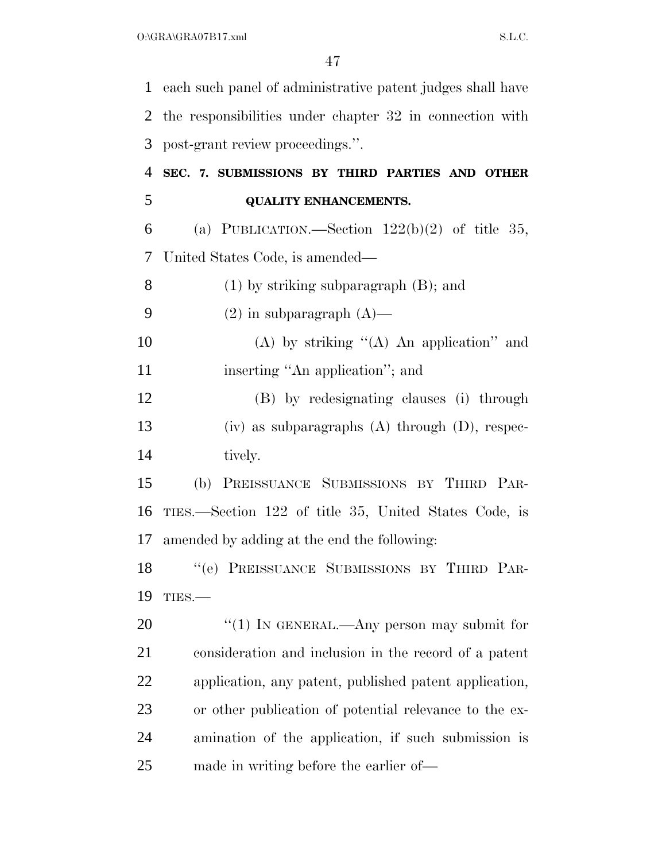each such panel of administrative patent judges shall have the responsibilities under chapter 32 in connection with post-grant review proceedings.''. **SEC. 7. SUBMISSIONS BY THIRD PARTIES AND OTHER QUALITY ENHANCEMENTS.**  6 (a) PUBLICATION.—Section  $122(b)(2)$  of title 35, United States Code, is amended— (1) by striking subparagraph (B); and

- 9 (2) in subparagraph  $(A)$ —
- 10 (A) by striking  $(4)$  An application" and 11 inserting "An application"; and

 (B) by redesignating clauses (i) through (iv) as subparagraphs (A) through (D), respec-14 tively.

 (b) PREISSUANCE SUBMISSIONS BY THIRD PAR- TIES.—Section 122 of title 35, United States Code, is amended by adding at the end the following:

 ''(e) PREISSUANCE SUBMISSIONS BY THIRD PAR-TIES.—

20 "(1) IN GENERAL.—Any person may submit for consideration and inclusion in the record of a patent application, any patent, published patent application, or other publication of potential relevance to the ex- amination of the application, if such submission is made in writing before the earlier of—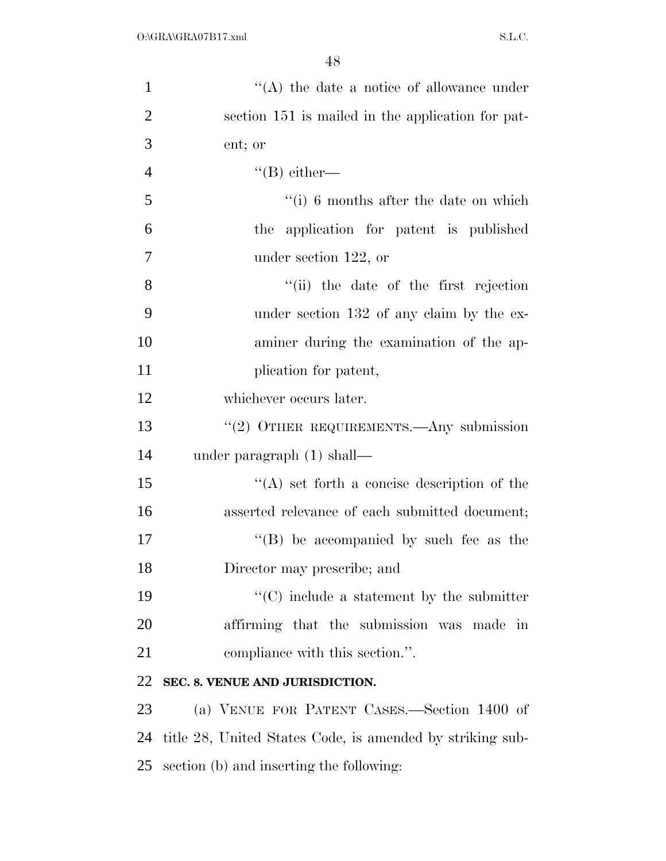| $\mathbf{1}$   | $\lq\lq$ the date a notice of allowance under             |
|----------------|-----------------------------------------------------------|
| $\overline{2}$ | section 151 is mailed in the application for pat-         |
| 3              | ent; or                                                   |
| $\overline{4}$ | $\lq\lq(B)$ either—                                       |
| 5              | $\lq\lq(i)$ 6 months after the date on which              |
| 6              | the application for patent is published                   |
| $\tau$         | under section $122$ , or                                  |
| 8              | "(ii) the date of the first rejection                     |
| 9              | under section 132 of any claim by the ex-                 |
| 10             | aminer during the examination of the ap-                  |
| 11             | plication for patent,                                     |
| 12             | whichever occurs later.                                   |
| 13             | " $(2)$ OTHER REQUIREMENTS.—Any submission                |
| 14             | under paragraph $(1)$ shall—                              |
| 15             | $\lq\lq$ set forth a concise description of the           |
| 16             | asserted relevance of each submitted document;            |
| 17             | "(B) be accompanied by such fee as the                    |
| 18             | Director may prescribe; and                               |
| 19             | $\cdot$ (C) include a statement by the submitter          |
| 20             | affirming that the submission was made in                 |
| 21             | compliance with this section.".                           |
| 22             | SEC. 8. VENUE AND JURISDICTION.                           |
| 23             | (a) VENUE FOR PATENT CASES.—Section 1400 of               |
| 24             | title 28, United States Code, is amended by striking sub- |
| 25             | section (b) and inserting the following:                  |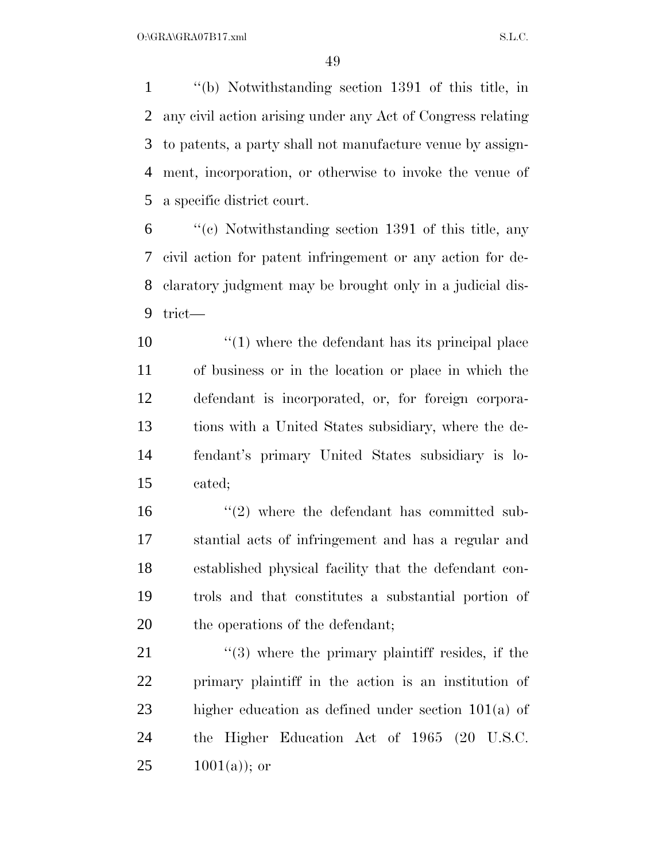''(b) Notwithstanding section 1391 of this title, in any civil action arising under any Act of Congress relating to patents, a party shall not manufacture venue by assign- ment, incorporation, or otherwise to invoke the venue of a specific district court.

 ''(c) Notwithstanding section 1391 of this title, any civil action for patent infringement or any action for de- claratory judgment may be brought only in a judicial dis-trict—

 ''(1) where the defendant has its principal place of business or in the location or place in which the defendant is incorporated, or, for foreign corpora- tions with a United States subsidiary, where the de- fendant's primary United States subsidiary is lo-cated;

16 ''(2) where the defendant has committed sub- stantial acts of infringement and has a regular and established physical facility that the defendant con- trols and that constitutes a substantial portion of 20 the operations of the defendant;

 $\frac{1}{21}$  ''(3) where the primary plaintiff resides, if the primary plaintiff in the action is an institution of higher education as defined under section 101(a) of the Higher Education Act of 1965 (20 U.S.C.  $25 \t 1001(a)$ ; or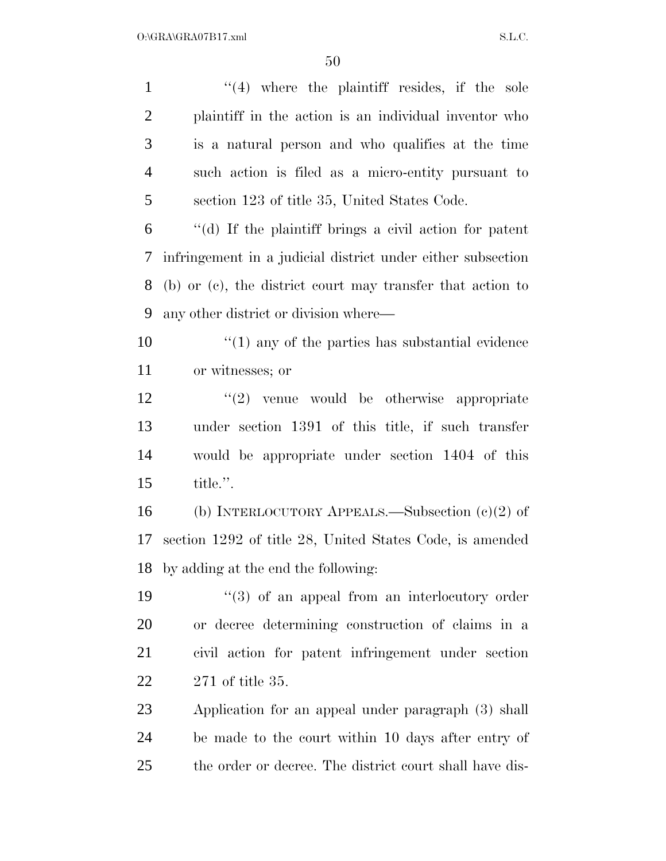1 ''(4) where the plaintiff resides, if the sole plaintiff in the action is an individual inventor who is a natural person and who qualifies at the time such action is filed as a micro-entity pursuant to section 123 of title 35, United States Code. ''(d) If the plaintiff brings a civil action for patent infringement in a judicial district under either subsection (b) or (c), the district court may transfer that action to any other district or division where—  $\frac{1}{2}$  (1) any of the parties has substantial evidence or witnesses; or ''(2) venue would be otherwise appropriate under section 1391 of this title, if such transfer would be appropriate under section 1404 of this title.''. (b) INTERLOCUTORY APPEALS.—Subsection (c)(2) of section 1292 of title 28, United States Code, is amended by adding at the end the following: 19 ''(3) of an appeal from an interlocutory order or decree determining construction of claims in a civil action for patent infringement under section 271 of title 35. Application for an appeal under paragraph (3) shall be made to the court within 10 days after entry of the order or decree. The district court shall have dis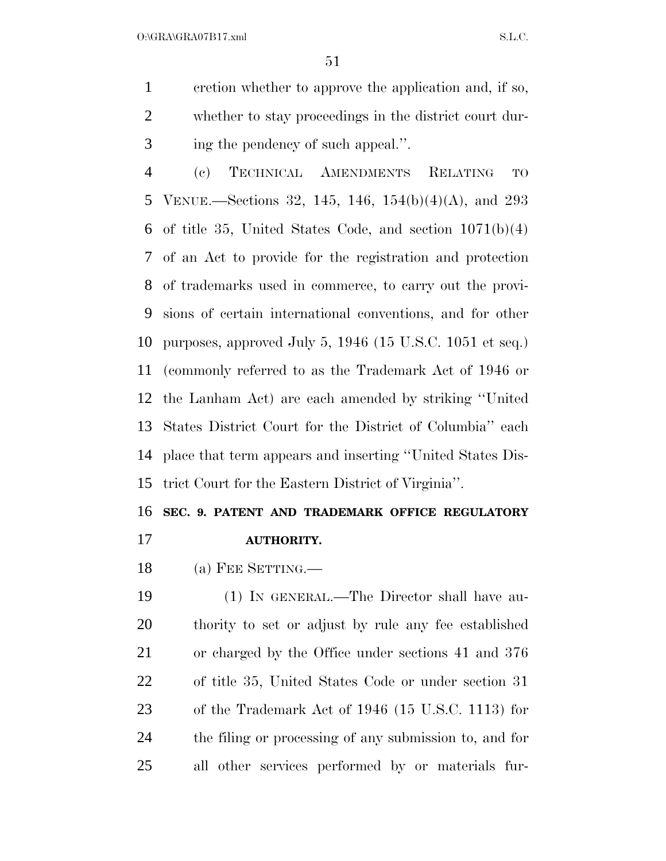$O:\overline{GRA}\setminus GRA$  and  $SL.C.$ 

 cretion whether to approve the application and, if so, whether to stay proceedings in the district court dur-ing the pendency of such appeal.''.

 (c) TECHNICAL AMENDMENTS RELATING TO VENUE.—Sections 32, 145, 146, 154(b)(4)(A), and 293 of title 35, United States Code, and section 1071(b)(4) of an Act to provide for the registration and protection of trademarks used in commerce, to carry out the provi- sions of certain international conventions, and for other purposes, approved July 5, 1946 (15 U.S.C. 1051 et seq.) (commonly referred to as the Trademark Act of 1946 or the Lanham Act) are each amended by striking ''United States District Court for the District of Columbia'' each place that term appears and inserting ''United States Dis-trict Court for the Eastern District of Virginia''.

#### **SEC. 9. PATENT AND TRADEMARK OFFICE REGULATORY**

**AUTHORITY.** 

18 (a) FEE SETTING.—

 (1) IN GENERAL.—The Director shall have au- thority to set or adjust by rule any fee established or charged by the Office under sections 41 and 376 of title 35, United States Code or under section 31 of the Trademark Act of 1946 (15 U.S.C. 1113) for the filing or processing of any submission to, and for all other services performed by or materials fur-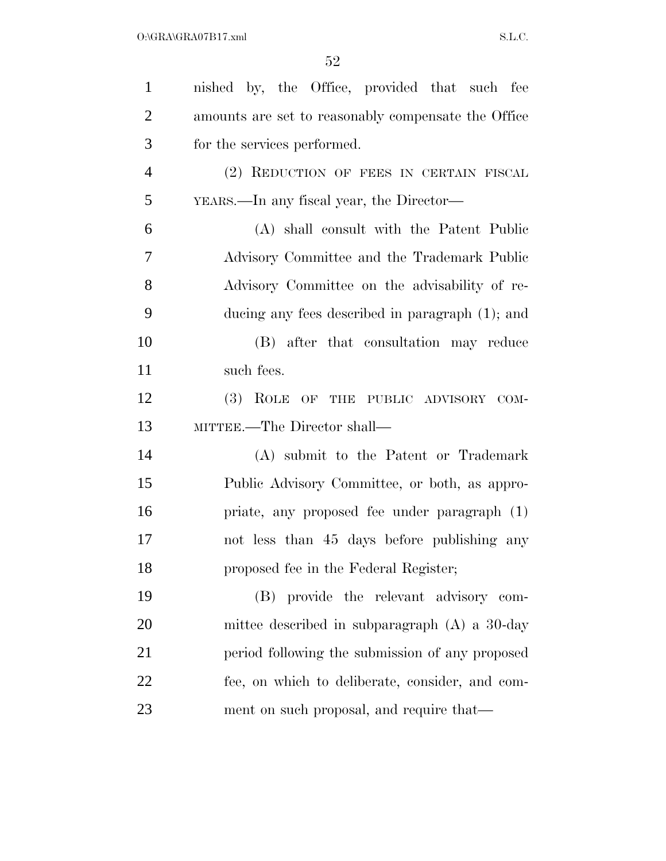| $\mathbf{1}$   | nished by, the Office, provided that such fee       |
|----------------|-----------------------------------------------------|
| $\overline{2}$ | amounts are set to reasonably compensate the Office |
| 3              | for the services performed.                         |
| $\overline{4}$ | (2) REDUCTION OF FEES IN CERTAIN FISCAL             |
| 5              | YEARS.—In any fiscal year, the Director—            |
| 6              | (A) shall consult with the Patent Public            |
| 7              | Advisory Committee and the Trademark Public         |
| 8              | Advisory Committee on the advisability of re-       |
| 9              | ducing any fees described in paragraph (1); and     |
| 10             | (B) after that consultation may reduce              |
| 11             | such fees.                                          |
| 12             | (3) ROLE OF THE PUBLIC ADVISORY COM-                |
| 13             | MITTEE.—The Director shall—                         |
| 14             | (A) submit to the Patent or Trademark               |
| 15             | Public Advisory Committee, or both, as appro-       |
| 16             | priate, any proposed fee under paragraph (1)        |
| 17             | not less than 45 days before publishing any         |
| 18             | proposed fee in the Federal Register;               |
| 19             | (B) provide the relevant advisory com-              |
| 20             | mittee described in subparagraph $(A)$ a 30-day     |
| 21             | period following the submission of any proposed     |
| 22             | fee, on which to deliberate, consider, and com-     |
| 23             | ment on such proposal, and require that—            |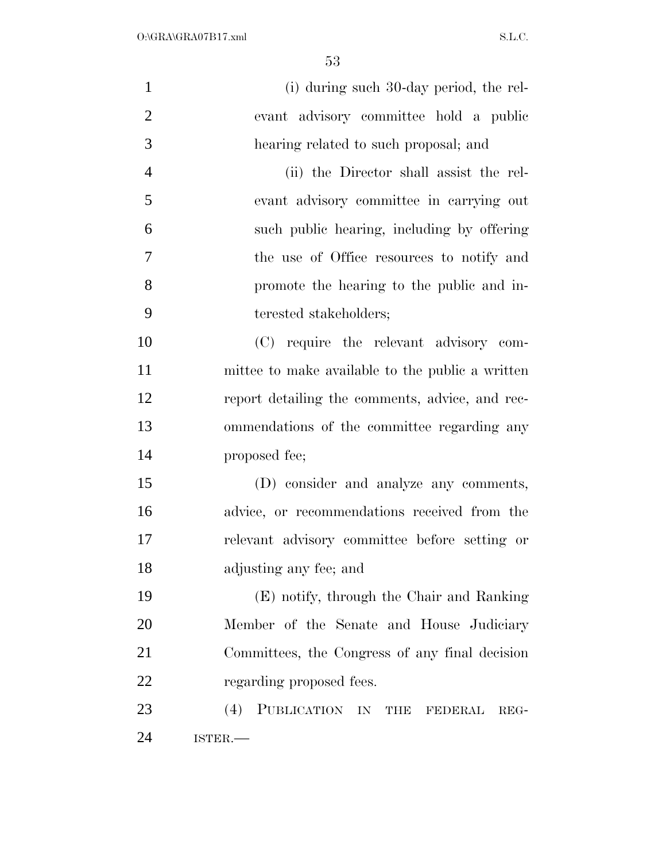| $\mathbf{1}$   | (i) during such 30-day period, the rel-          |
|----------------|--------------------------------------------------|
| $\overline{2}$ | evant advisory committee hold a public           |
| 3              | hearing related to such proposal; and            |
| $\overline{4}$ | (ii) the Director shall assist the rel-          |
| 5              | evant advisory committee in carrying out         |
| 6              | such public hearing, including by offering       |
| $\overline{7}$ | the use of Office resources to notify and        |
| 8              | promote the hearing to the public and in-        |
| 9              | terested stakeholders;                           |
| 10             | (C) require the relevant advisory com-           |
| 11             | mittee to make available to the public a written |
| 12             | report detailing the comments, advice, and rec-  |
| 13             | ommendations of the committee regarding any      |
| 14             | proposed fee;                                    |
| 15             | (D) consider and analyze any comments,           |
| 16             | advice, or recommendations received from the     |
| 17             | relevant advisory committee before setting or    |
| 18             | adjusting any fee; and                           |
| 19             | (E) notify, through the Chair and Ranking        |
| 20             | Member of the Senate and House Judiciary         |
| 21             | Committees, the Congress of any final decision   |
| 22             | regarding proposed fees.                         |
| 23             | PUBLICATION IN THE FEDERAL<br>(4)<br>REG-        |
| 24             | ISTER.                                           |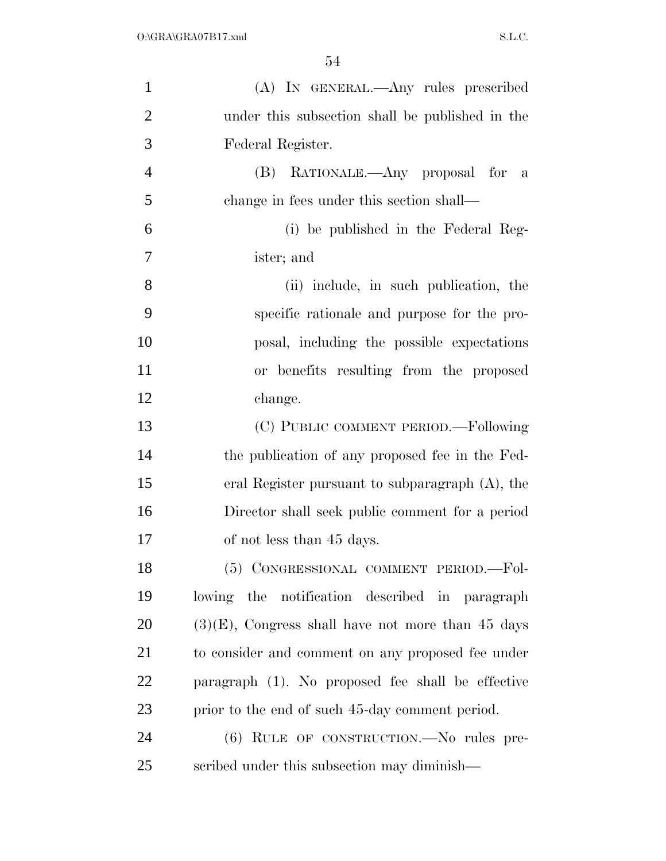| $\mathbf{1}$   | (A) IN GENERAL.—Any rules prescribed                 |
|----------------|------------------------------------------------------|
| $\overline{2}$ | under this subsection shall be published in the      |
| 3              | Federal Register.                                    |
| $\overline{4}$ | (B) RATIONALE.—Any proposal for<br>$\mathbf{a}$      |
| 5              | change in fees under this section shall—             |
| 6              | (i) be published in the Federal Reg-                 |
| 7              | ister; and                                           |
| 8              | (ii) include, in such publication, the               |
| 9              | specific rationale and purpose for the pro-          |
| 10             | posal, including the possible expectations           |
| 11             | or benefits resulting from the proposed              |
| 12             | change.                                              |
| 13             | (C) PUBLIC COMMENT PERIOD.—Following                 |
| 14             | the publication of any proposed fee in the Fed-      |
| 15             | eral Register pursuant to subparagraph (A), the      |
| 16             | Director shall seek public comment for a period      |
| 17             | of not less than 45 days.                            |
| 18             | (5) CONGRESSIONAL COMMENT PERIOD.-Fol-               |
| 19             | lowing the notification described in paragraph       |
| 20             | $(3)(E)$ , Congress shall have not more than 45 days |
| 21             | to consider and comment on any proposed fee under    |
| <u>22</u>      | paragraph (1). No proposed fee shall be effective    |
| 23             | prior to the end of such 45-day comment period.      |
| 24             | (6) RULE OF CONSTRUCTION.—No rules pre-              |
| 25             | scribed under this subsection may diminish—          |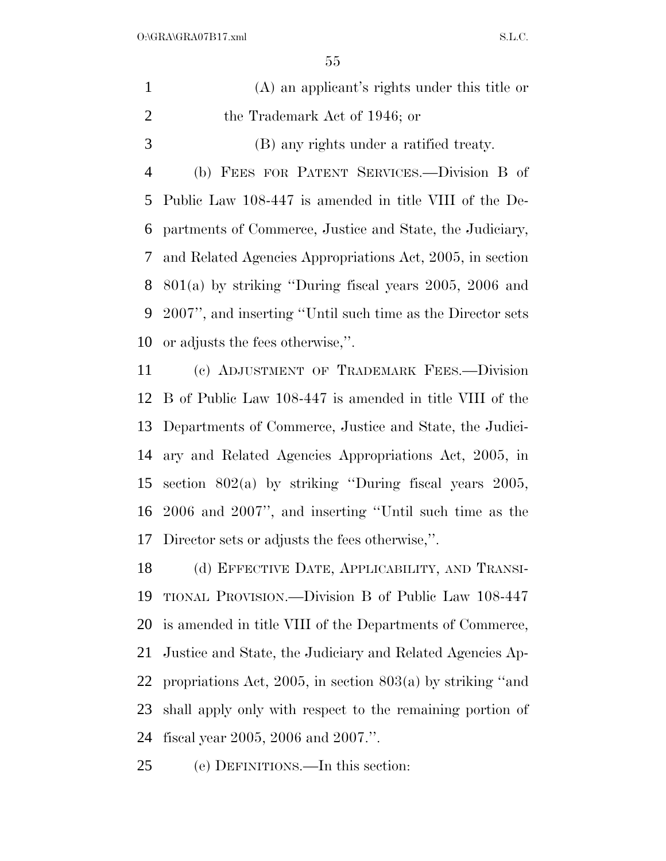| (A) an applicant's rights under this title or |
|-----------------------------------------------|
| the Trademark Act of 1946; or                 |
| (B) any rights under a ratified treaty.       |

 (b) FEES FOR PATENT SERVICES.—Division B of Public Law 108-447 is amended in title VIII of the De- partments of Commerce, Justice and State, the Judiciary, and Related Agencies Appropriations Act, 2005, in section 801(a) by striking ''During fiscal years 2005, 2006 and 2007'', and inserting ''Until such time as the Director sets or adjusts the fees otherwise,''.

 (c) ADJUSTMENT OF TRADEMARK FEES.—Division B of Public Law 108-447 is amended in title VIII of the Departments of Commerce, Justice and State, the Judici- ary and Related Agencies Appropriations Act, 2005, in section 802(a) by striking ''During fiscal years 2005, 2006 and 2007'', and inserting ''Until such time as the Director sets or adjusts the fees otherwise,''.

 (d) EFFECTIVE DATE, APPLICABILITY, AND TRANSI- TIONAL PROVISION.—Division B of Public Law 108-447 is amended in title VIII of the Departments of Commerce, Justice and State, the Judiciary and Related Agencies Ap- propriations Act, 2005, in section 803(a) by striking ''and shall apply only with respect to the remaining portion of fiscal year 2005, 2006 and 2007.''.

(e) DEFINITIONS.—In this section: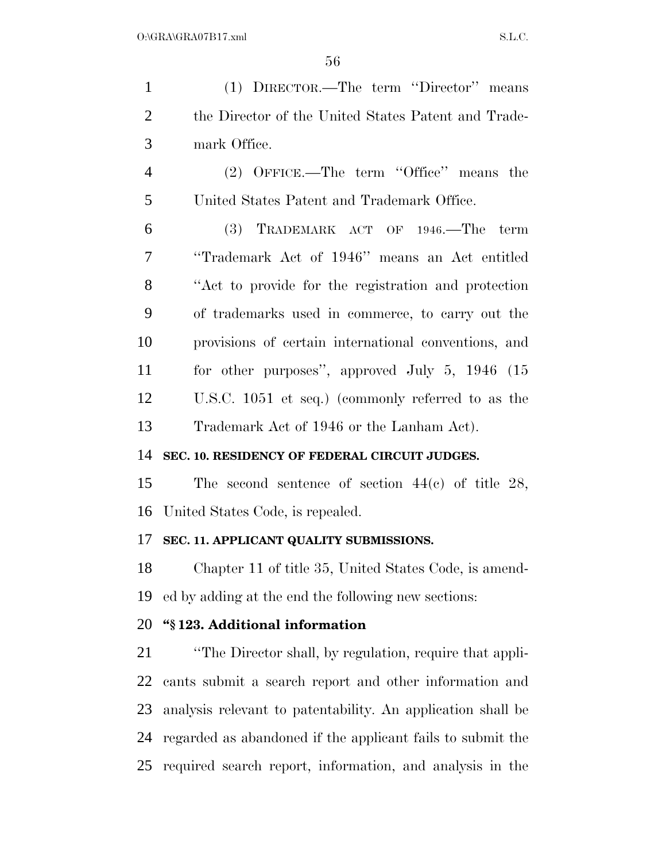(1) DIRECTOR.—The term ''Director'' means the Director of the United States Patent and Trade- mark Office. (2) OFFICE.—The term ''Office'' means the United States Patent and Trademark Office. (3) TRADEMARK ACT OF 1946.—The term ''Trademark Act of 1946'' means an Act entitled ''Act to provide for the registration and protection of trademarks used in commerce, to carry out the provisions of certain international conventions, and for other purposes'', approved July 5, 1946 (15 U.S.C. 1051 et seq.) (commonly referred to as the Trademark Act of 1946 or the Lanham Act). **SEC. 10. RESIDENCY OF FEDERAL CIRCUIT JUDGES.**  The second sentence of section 44(c) of title 28, United States Code, is repealed. **SEC. 11. APPLICANT QUALITY SUBMISSIONS.**  Chapter 11 of title 35, United States Code, is amend- ed by adding at the end the following new sections: **''§ 123. Additional information**  ''The Director shall, by regulation, require that appli- cants submit a search report and other information and analysis relevant to patentability. An application shall be

 regarded as abandoned if the applicant fails to submit the required search report, information, and analysis in the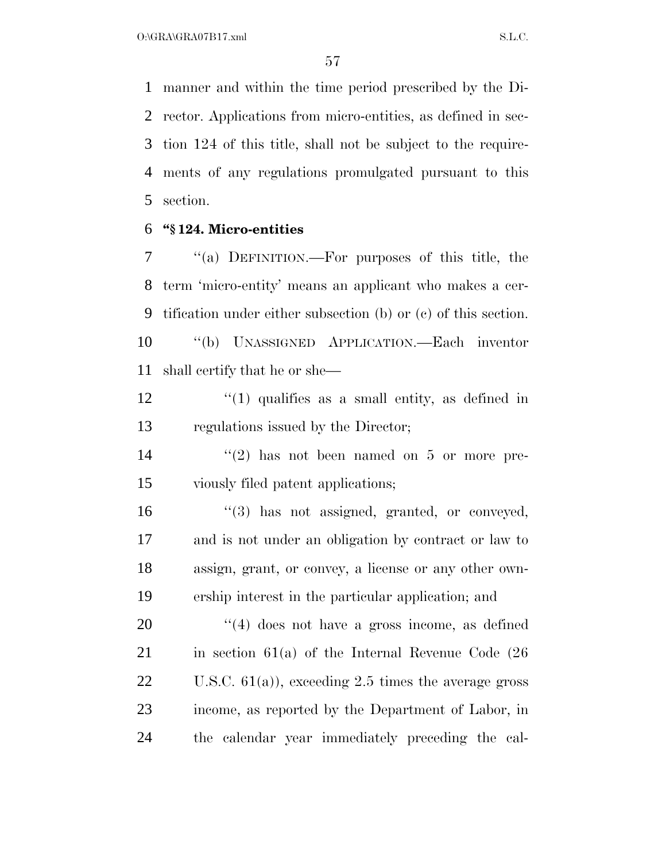manner and within the time period prescribed by the Di- rector. Applications from micro-entities, as defined in sec- tion 124 of this title, shall not be subject to the require- ments of any regulations promulgated pursuant to this section.

#### **''§ 124. Micro-entities**

 ''(a) DEFINITION.—For purposes of this title, the term 'micro-entity' means an applicant who makes a cer- tification under either subsection (b) or (c) of this section. ''(b) UNASSIGNED APPLICATION.—Each inventor shall certify that he or she—

 $\frac{12}{12}$  ''(1) qualifies as a small entity, as defined in regulations issued by the Director;

 ''(2) has not been named on 5 or more pre-viously filed patent applications;

 $\frac{16}{3}$  has not assigned, granted, or conveyed, and is not under an obligation by contract or law to assign, grant, or convey, a license or any other own-ership interest in the particular application; and

 $\frac{1}{4}$  does not have a gross income, as defined 21 in section  $61(a)$  of the Internal Revenue Code  $(26)$  U.S.C. 61(a)), exceeding 2.5 times the average gross income, as reported by the Department of Labor, in the calendar year immediately preceding the cal-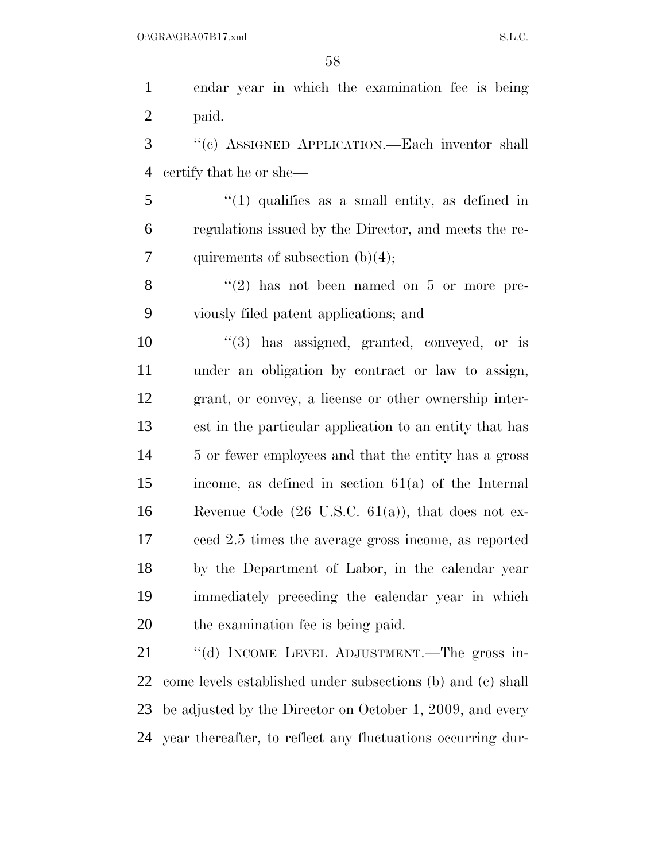endar year in which the examination fee is being paid.

 ''(c) ASSIGNED APPLICATION.—Each inventor shall certify that he or she—

 ''(1) qualifies as a small entity, as defined in regulations issued by the Director, and meets the re-7 quirements of subsection  $(b)(4)$ ;

8 "(2) has not been named on 5 or more pre-viously filed patent applications; and

 $\frac{10}{3}$  has assigned, granted, conveyed, or is under an obligation by contract or law to assign, grant, or convey, a license or other ownership inter- est in the particular application to an entity that has 5 or fewer employees and that the entity has a gross income, as defined in section 61(a) of the Internal Revenue Code (26 U.S.C. 61(a)), that does not ex- ceed 2.5 times the average gross income, as reported by the Department of Labor, in the calendar year immediately preceding the calendar year in which the examination fee is being paid.

 ''(d) INCOME LEVEL ADJUSTMENT.—The gross in- come levels established under subsections (b) and (c) shall be adjusted by the Director on October 1, 2009, and every year thereafter, to reflect any fluctuations occurring dur-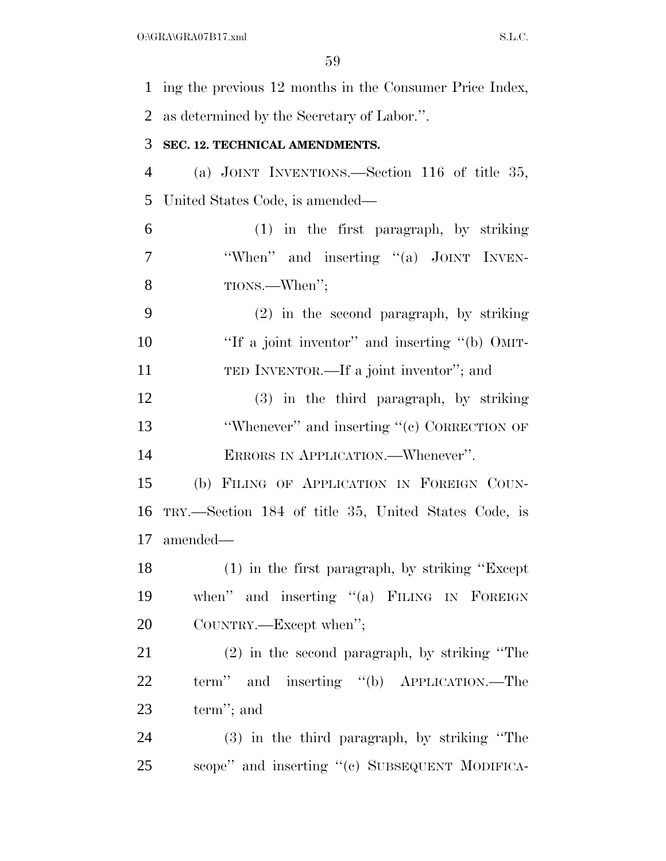ing the previous 12 months in the Consumer Price Index, as determined by the Secretary of Labor.''. **SEC. 12. TECHNICAL AMENDMENTS.**  (a) JOINT INVENTIONS.—Section 116 of title 35, United States Code, is amended— (1) in the first paragraph, by striking 7 "When" and inserting "(a) JOINT INVEN- TIONS.—When''; (2) in the second paragraph, by striking 10 ''If a joint inventor'' and inserting "(b) OMIT- TED INVENTOR.—If a joint inventor''; and (3) in the third paragraph, by striking 13 'Whenever'' and inserting "(c) CORRECTION OF ERRORS IN APPLICATION.—Whenever''. (b) FILING OF APPLICATION IN FOREIGN COUN- TRY.—Section 184 of title 35, United States Code, is amended— (1) in the first paragraph, by striking ''Except when'' and inserting ''(a) FILING IN FOREIGN COUNTRY.—Except when''; (2) in the second paragraph, by striking ''The term'' and inserting ''(b) APPLICATION.—The term''; and (3) in the third paragraph, by striking ''The scope'' and inserting ''(c) SUBSEQUENT MODIFICA-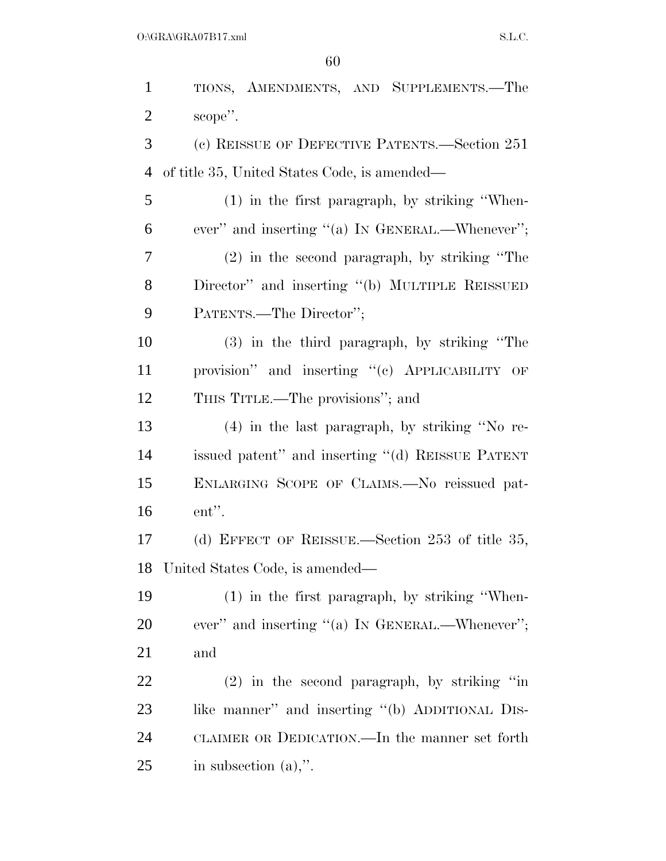TIONS, AMENDMENTS, AND SUPPLEMENTS.—The 2 scope". (c) REISSUE OF DEFECTIVE PATENTS.—Section 251 of title 35, United States Code, is amended— (1) in the first paragraph, by striking ''When- ever'' and inserting ''(a) IN GENERAL.—Whenever''; (2) in the second paragraph, by striking ''The Director'' and inserting ''(b) MULTIPLE REISSUED PATENTS.—The Director''; (3) in the third paragraph, by striking ''The provision'' and inserting ''(c) APPLICABILITY OF THIS TITLE.—The provisions''; and (4) in the last paragraph, by striking ''No re- issued patent'' and inserting ''(d) REISSUE PATENT ENLARGING SCOPE OF CLAIMS.—No reissued pat- ent''. (d) EFFECT OF REISSUE.—Section 253 of title 35, United States Code, is amended— (1) in the first paragraph, by striking ''When-20 ever" and inserting "(a) IN GENERAL.—Whenever"; and (2) in the second paragraph, by striking ''in 23 like manner" and inserting "(b) ADDITIONAL DIS-CLAIMER OR DEDICATION.—In the manner set forth

in subsection (a),''.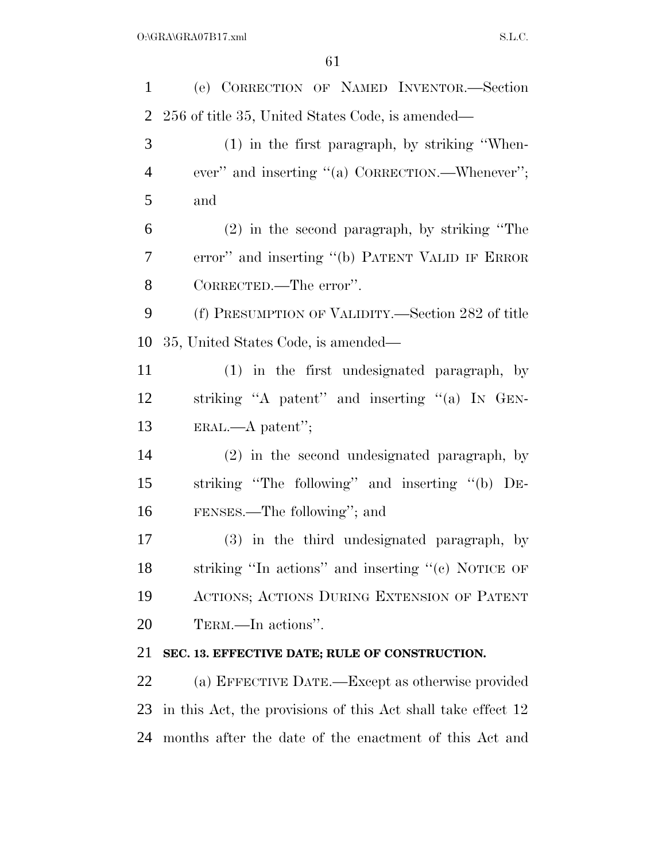| $\mathbf{1}$   | (e) CORRECTION OF NAMED INVENTOR.-Section                    |
|----------------|--------------------------------------------------------------|
| $\overline{2}$ | 256 of title 35, United States Code, is amended—             |
| 3              | (1) in the first paragraph, by striking "When-               |
| $\overline{4}$ | ever" and inserting "(a) CORRECTION.—Whenever";              |
| 5              | and                                                          |
| 6              | $(2)$ in the second paragraph, by striking "The              |
| 7              | error" and inserting "(b) PATENT VALID IF ERROR              |
| 8              | CORRECTED.—The error".                                       |
| 9              | (f) PRESUMPTION OF VALIDITY.—Section 282 of title            |
| 10             | 35, United States Code, is amended—                          |
| 11             | (1) in the first undesignated paragraph, by                  |
| 12             | striking "A patent" and inserting "(a) IN GEN-               |
| 13             | $ERAL. \text{—} A patent";$                                  |
| 14             | (2) in the second undesignated paragraph, by                 |
| 15             | striking "The following" and inserting "(b) DE-              |
| 16             | FENSES.—The following"; and                                  |
| 17             | (3) in the third undesignated paragraph, by                  |
| 18             | striking "In actions" and inserting "(c) NOTICE OF           |
| 19             | ACTIONS; ACTIONS DURING EXTENSION OF PATENT                  |
| 20             | TERM.—In actions".                                           |
| 21             | SEC. 13. EFFECTIVE DATE; RULE OF CONSTRUCTION.               |
| 22             | (a) EFFECTIVE DATE.—Except as otherwise provided             |
| 23             | in this Act, the provisions of this Act shall take effect 12 |
| 24             | months after the date of the enactment of this Act and       |